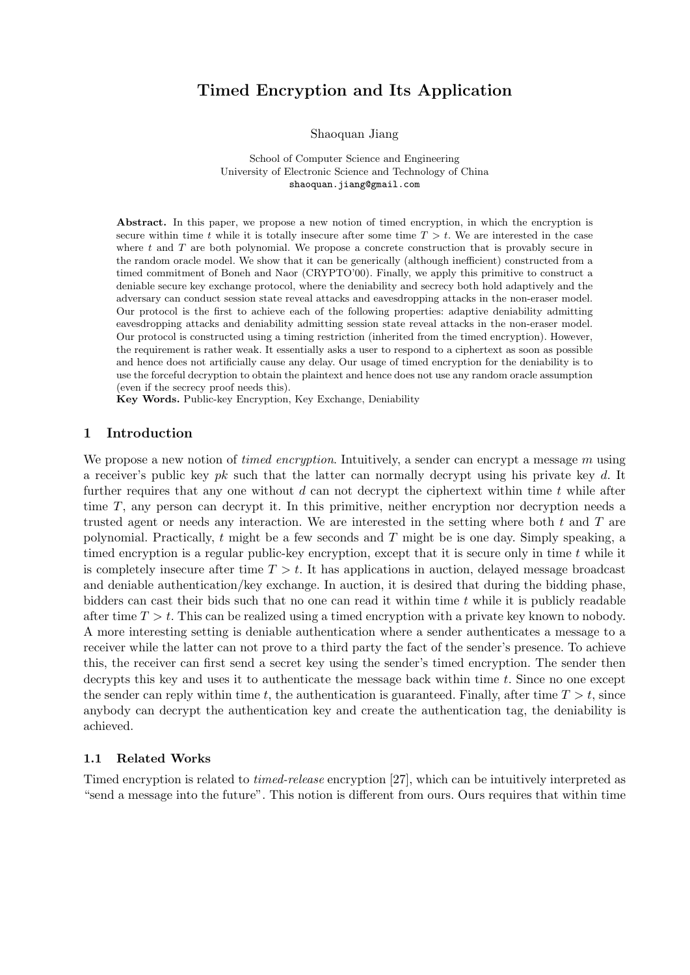# **Timed Encryption and Its Application**

Shaoquan Jiang

School of Computer Science and Engineering University of Electronic Science and Technology of China shaoquan.jiang@gmail.com

**Abstract.** In this paper, we propose a new notion of timed encryption, in which the encryption is secure within time  $t$  while it is totally insecure after some time  $T > t$ . We are interested in the case where *t* and *T* are both polynomial. We propose a concrete construction that is provably secure in the random oracle model. We show that it can be generically (although inefficient) constructed from a timed commitment of Boneh and Naor (CRYPTO'00). Finally, we apply this primitive to construct a deniable secure key exchange protocol, where the deniability and secrecy both hold adaptively and the adversary can conduct session state reveal attacks and eavesdropping attacks in the non-eraser model. Our protocol is the first to achieve each of the following properties: adaptive deniability admitting eavesdropping attacks and deniability admitting session state reveal attacks in the non-eraser model. Our protocol is constructed using a timing restriction (inherited from the timed encryption). However, the requirement is rather weak. It essentially asks a user to respond to a ciphertext as soon as possible and hence does not artificially cause any delay. Our usage of timed encryption for the deniability is to use the forceful decryption to obtain the plaintext and hence does not use any random oracle assumption (even if the secrecy proof needs this).

**Key Words.** Public-key Encryption, Key Exchange, Deniability

# **1 Introduction**

We propose a new notion of *timed encryption*. Intuitively, a sender can encrypt a message *m* using a receiver's public key *pk* such that the latter can normally decrypt using his private key *d*. It further requires that any one without *d* can not decrypt the ciphertext within time *t* while after time *T*, any person can decrypt it. In this primitive, neither encryption nor decryption needs a trusted agent or needs any interaction. We are interested in the setting where both *t* and *T* are polynomial. Practically, *t* might be a few seconds and *T* might be is one day. Simply speaking, a timed encryption is a regular public-key encryption, except that it is secure only in time *t* while it is completely insecure after time  $T > t$ . It has applications in auction, delayed message broadcast and deniable authentication/key exchange. In auction, it is desired that during the bidding phase, bidders can cast their bids such that no one can read it within time *t* while it is publicly readable after time *T > t*. This can be realized using a timed encryption with a private key known to nobody. A more interesting setting is deniable authentication where a sender authenticates a message to a receiver while the latter can not prove to a third party the fact of the sender's presence. To achieve this, the receiver can first send a secret key using the sender's timed encryption. The sender then decrypts this key and uses it to authenticate the message back within time *t*. Since no one except the sender can reply within time  $t$ , the authentication is guaranteed. Finally, after time  $T > t$ , since anybody can decrypt the authentication key and create the authentication tag, the deniability is achieved.

# **1.1 Related Works**

Timed encryption is related to *timed-release* encryption [27], which can be intuitively interpreted as "send a message into the future". This notion is different from ours. Ours requires that within time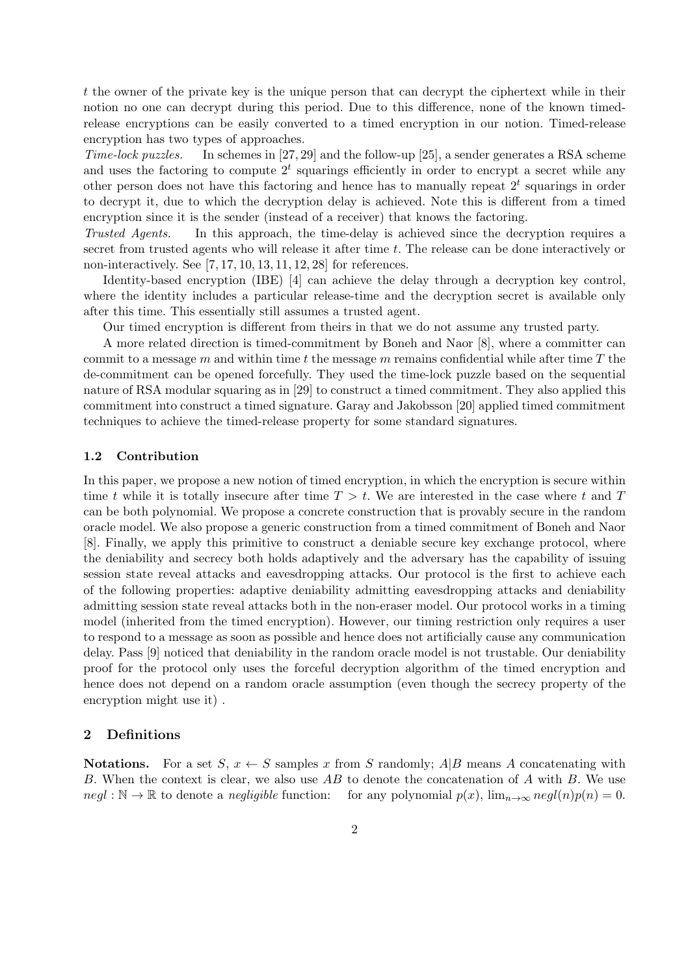*t* the owner of the private key is the unique person that can decrypt the ciphertext while in their notion no one can decrypt during this period. Due to this difference, none of the known timedrelease encryptions can be easily converted to a timed encryption in our notion. Timed-release encryption has two types of approaches.

*Time-lock puzzles.* In schemes in [27, 29] and the follow-up [25], a sender generates a RSA scheme and uses the factoring to compute  $2<sup>t</sup>$  squarings efficiently in order to encrypt a secret while any other person does not have this factoring and hence has to manually repeat 2*<sup>t</sup>* squarings in order to decrypt it, due to which the decryption delay is achieved. Note this is different from a timed encryption since it is the sender (instead of a receiver) that knows the factoring.

*Trusted Agents.* In this approach, the time-delay is achieved since the decryption requires a secret from trusted agents who will release it after time *t*. The release can be done interactively or non-interactively. See [7, 17, 10, 13, 11, 12, 28] for references.

Identity-based encryption (IBE) [4] can achieve the delay through a decryption key control, where the identity includes a particular release-time and the decryption secret is available only after this time. This essentially still assumes a trusted agent.

Our timed encryption is different from theirs in that we do not assume any trusted party.

A more related direction is timed-commitment by Boneh and Naor [8], where a committer can commit to a message *m* and within time *t* the message *m* remains confidential while after time *T* the de-commitment can be opened forcefully. They used the time-lock puzzle based on the sequential nature of RSA modular squaring as in [29] to construct a timed commitment. They also applied this commitment into construct a timed signature. Garay and Jakobsson [20] applied timed commitment techniques to achieve the timed-release property for some standard signatures.

#### **1.2 Contribution**

In this paper, we propose a new notion of timed encryption, in which the encryption is secure within time *t* while it is totally insecure after time  $T > t$ . We are interested in the case where *t* and *T* can be both polynomial. We propose a concrete construction that is provably secure in the random oracle model. We also propose a generic construction from a timed commitment of Boneh and Naor [8]. Finally, we apply this primitive to construct a deniable secure key exchange protocol, where the deniability and secrecy both holds adaptively and the adversary has the capability of issuing session state reveal attacks and eavesdropping attacks. Our protocol is the first to achieve each of the following properties: adaptive deniability admitting eavesdropping attacks and deniability admitting session state reveal attacks both in the non-eraser model. Our protocol works in a timing model (inherited from the timed encryption). However, our timing restriction only requires a user to respond to a message as soon as possible and hence does not artificially cause any communication delay. Pass [9] noticed that deniability in the random oracle model is not trustable. Our deniability proof for the protocol only uses the forceful decryption algorithm of the timed encryption and hence does not depend on a random oracle assumption (even though the secrecy property of the encryption might use it) .

# **2 Definitions**

**Notations.** For a set *S*,  $x \leftarrow S$  samples *x* from *S* randomly; *A*|*B* means *A* concatenating with *B*. When the context is clear, we also use *AB* to denote the concatenation of *A* with *B*. We use  $negl : \mathbb{N} \to \mathbb{R}$  to denote a *negligible* function: for any polynomial  $p(x)$ ,  $\lim_{n \to \infty} negl(n)p(n) = 0$ .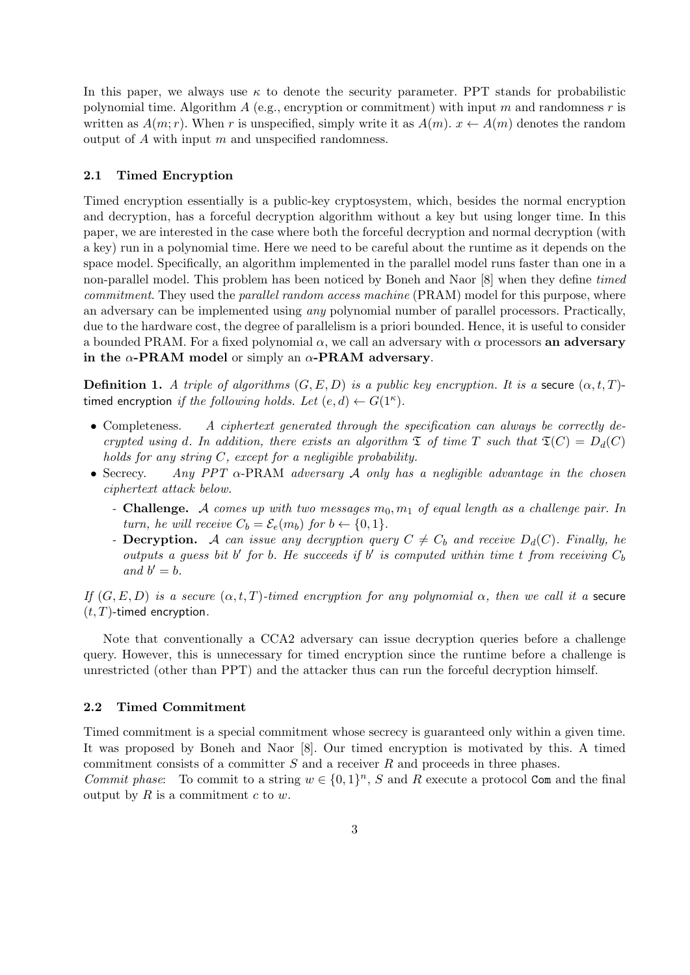In this paper, we always use  $\kappa$  to denote the security parameter. PPT stands for probabilistic polynomial time. Algorithm *A* (e.g., encryption or commitment) with input *m* and randomness *r* is written as  $A(m; r)$ . When *r* is unspecified, simply write it as  $A(m)$ .  $x \leftarrow A(m)$  denotes the random output of *A* with input *m* and unspecified randomness.

# **2.1 Timed Encryption**

Timed encryption essentially is a public-key cryptosystem, which, besides the normal encryption and decryption, has a forceful decryption algorithm without a key but using longer time. In this paper, we are interested in the case where both the forceful decryption and normal decryption (with a key) run in a polynomial time. Here we need to be careful about the runtime as it depends on the space model. Specifically, an algorithm implemented in the parallel model runs faster than one in a non-parallel model. This problem has been noticed by Boneh and Naor [8] when they define *timed commitment*. They used the *parallel random access machine* (PRAM) model for this purpose, where an adversary can be implemented using *any* polynomial number of parallel processors. Practically, due to the hardware cost, the degree of parallelism is a priori bounded. Hence, it is useful to consider a bounded PRAM. For a fixed polynomial *α*, we call an adversary with *α* processors **an adversary in the** *α***-PRAM model** or simply an *α***-PRAM adversary**.

**Definition 1.** *A triple of algorithms*  $(G, E, D)$  *is a public key encryption. It is a* secure  $(\alpha, t, T)$ timed encryption *if the following holds. Let*  $(e, d) \leftarrow G(1^{\kappa})$ .

- Completeness. A ciphertext generated through the specification can always be correctly de*crypted using d. In addition, there exists an algorithm*  $\mathfrak{T}$  *of time T such that*  $\mathfrak{T}(C) = D_d(C)$ *holds for any string C, except for a negligible probability.*
- *•* Secrecy. *Any PPT α*-PRAM *adversary A only has a negligible advantage in the chosen ciphertext attack below.*
	- *-* **Challenge.** *A comes up with two messages m*0*, m*<sup>1</sup> *of equal length as a challenge pair. In turn, he will receive*  $C_b = \mathcal{E}_e(m_b)$  *for*  $b \leftarrow \{0, 1\}$ *.*
	- *-* **Decryption.** *A can issue any decryption query*  $C \neq C_b$  *and receive*  $D_d(C)$ *. Finally, he outputs a guess bit*  $b'$  *for*  $b$ *. He succeeds if*  $b'$  *is computed within time*  $t$  *from receiving*  $C_b$ *and*  $b' = b$ .

*If*  $(G, E, D)$  *is a secure*  $(\alpha, t, T)$ *-timed encryption for any polynomial*  $\alpha$ *, then we call it a* secure (*t, T*)-timed encryption*.*

Note that conventionally a CCA2 adversary can issue decryption queries before a challenge query. However, this is unnecessary for timed encryption since the runtime before a challenge is unrestricted (other than PPT) and the attacker thus can run the forceful decryption himself.

#### **2.2 Timed Commitment**

Timed commitment is a special commitment whose secrecy is guaranteed only within a given time. It was proposed by Boneh and Naor [8]. Our timed encryption is motivated by this. A timed commitment consists of a committer *S* and a receiver *R* and proceeds in three phases.

*Commit phase*: To commit to a string  $w \in \{0,1\}^n$ , *S* and *R* execute a protocol Com and the final output by *R* is a commitment *c* to *w*.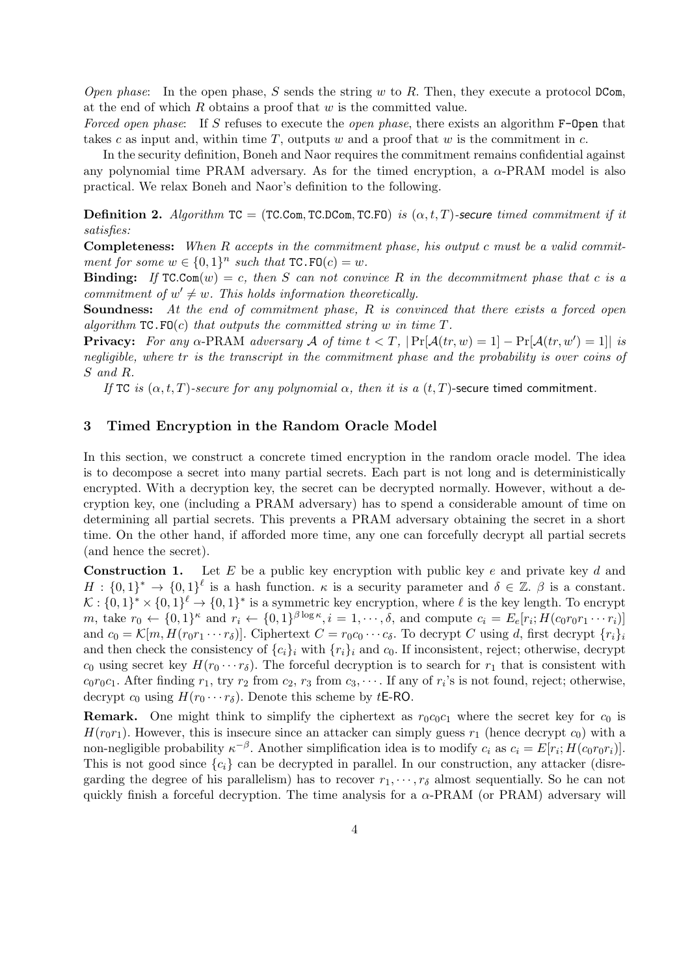*Open phase*: In the open phase, *S* sends the string *w* to *R*. Then, they execute a protocol DCom, at the end of which *R* obtains a proof that *w* is the committed value.

*Forced open phase*: If *S* refuses to execute the *open phase*, there exists an algorithm F-Open that takes *c* as input and, within time *T*, outputs *w* and a proof that *w* is the commitment in *c*.

In the security definition, Boneh and Naor requires the commitment remains confidential against any polynomial time PRAM adversary. As for the timed encryption, a  $\alpha$ -PRAM model is also practical. We relax Boneh and Naor's definition to the following.

**Definition 2.** *Algorithm*  $TC = (TC.Com, TC.DCom, TC.FO)$  *is*  $(\alpha, t, T)$ -secure *timed commitment if it satisfies:*

**Completeness:** *When R accepts in the commitment phase, his output c must be a valid commitment for some*  $w \in \{0,1\}^n$  *such that*  $TC.FO(c) = w$ *.* 

**Binding:** If  $TC\text{-}Com(w) = c$ , then S can not convince R in the decommitment phase that c is a *commitment of*  $w' \neq w$ *. This holds information theoretically.* 

**Soundness:** *At the end of commitment phase, R is convinced that there exists a forced open algorithm*  $TC.FO(c)$  *that outputs the committed string w in time*  $T$ *.* 

**Privacy:** For any  $\alpha$ -PRAM adversary  $\mathcal A$  of time  $t < T$ ,  $|\Pr[\mathcal A(tr, w) = 1] - \Pr[\mathcal A(tr, w') = 1]|$  is *negligible, where tr is the transcript in the commitment phase and the probability is over coins of S and R.*

*If* TC *is*  $(\alpha, t, T)$ *-secure for any polynomial*  $\alpha$ *, then it is a*  $(t, T)$ -secure timed commitment.

## **3 Timed Encryption in the Random Oracle Model**

In this section, we construct a concrete timed encryption in the random oracle model. The idea is to decompose a secret into many partial secrets. Each part is not long and is deterministically encrypted. With a decryption key, the secret can be decrypted normally. However, without a decryption key, one (including a PRAM adversary) has to spend a considerable amount of time on determining all partial secrets. This prevents a PRAM adversary obtaining the secret in a short time. On the other hand, if afforded more time, any one can forcefully decrypt all partial secrets (and hence the secret).

**Construction 1.** Let *E* be a public key encryption with public key *e* and private key *d* and  $H: \{0,1\}^* \to \{0,1\}^{\ell}$  is a hash function. *κ* is a security parameter and  $\delta \in \mathbb{Z}$ .  $\beta$  is a constant.  $K: \{0,1\}^* \times \{0,1\}^{\ell} \to \{0,1\}^*$  is a symmetric key encryption, where  $\ell$  is the key length. To encrypt m, take  $r_0 \leftarrow \{0,1\}^{\kappa}$  and  $r_i \leftarrow \{0,1\}^{\beta \log \kappa}, i = 1,\cdots,\delta$ , and compute  $c_i = E_e[r_i; H(c_0r_0r_1\cdots r_i)]$ and  $c_0 = \mathcal{K}[m, H(r_0r_1\cdots r_\delta)]$ . Ciphertext  $C = r_0c_0\cdots c_\delta$ . To decrypt C using d, first decrypt  $\{r_i\}_i$ and then check the consistency of  $\{c_i\}_i$  with  $\{r_i\}_i$  and  $c_0$ . If inconsistent, reject; otherwise, decrypt  $c_0$  using secret key  $H(r_0 \cdots r_{\delta})$ . The forceful decryption is to search for  $r_1$  that is consistent with  $c_0r_0c_1$ . After finding  $r_1$ , try  $r_2$  from  $c_2$ ,  $r_3$  from  $c_3$ ,  $\cdots$ . If any of  $r_i$ 's is not found, reject; otherwise, decrypt  $c_0$  using  $H(r_0 \cdots r_\delta)$ . Denote this scheme by *t***E-RO**.

**Remark.** One might think to simplify the ciphertext as  $r_0c_0c_1$  where the secret key for  $c_0$  is  $H(r_0r_1)$ . However, this is insecure since an attacker can simply guess  $r_1$  (hence decrypt  $c_0$ ) with a non-negligible probability  $\kappa^{-\beta}$ . Another simplification idea is to modify  $c_i$  as  $c_i = E[r_i; H(c_0r_0r_i)]$ . This is not good since  ${c_i}$  can be decrypted in parallel. In our construction, any attacker (disregarding the degree of his parallelism) has to recover  $r_1, \dots, r_\delta$  almost sequentially. So he can not quickly finish a forceful decryption. The time analysis for a  $\alpha$ -PRAM (or PRAM) adversary will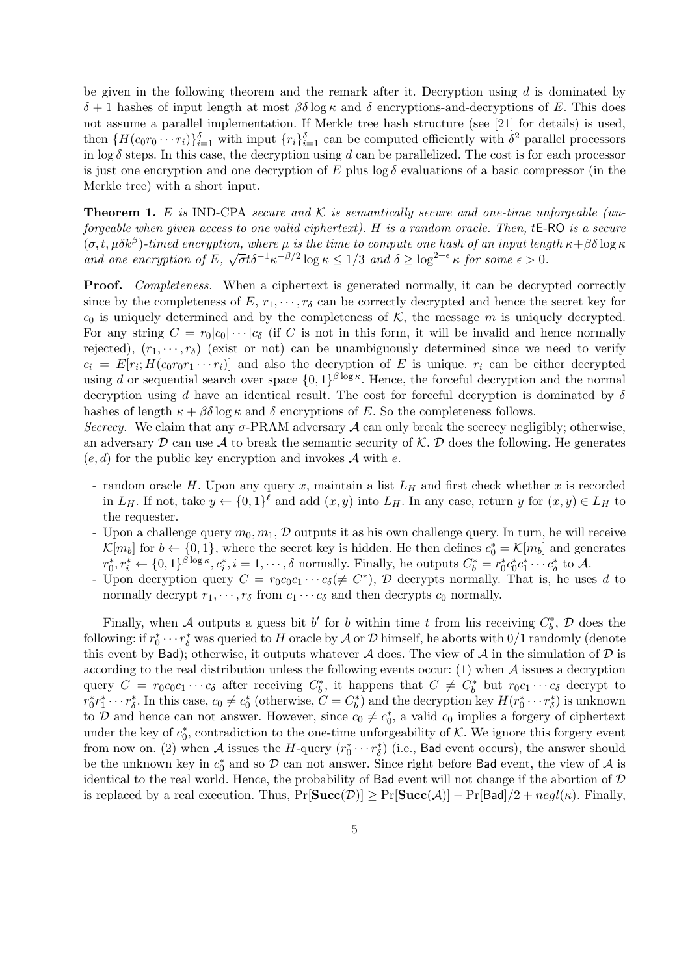be given in the following theorem and the remark after it. Decryption using *d* is dominated by *δ* + 1 hashes of input length at most  $\beta\delta$  log *κ* and *δ* encryptions-and-decryptions of *E*. This does not assume a parallel implementation. If Merkle tree hash structure (see [21] for details) is used, then  $\{H(c_0r_0\cdots r_i)\}_{i=1}^{\delta}$  with input  $\{r_i\}_{i=1}^{\delta}$  can be computed efficiently with  $\delta^2$  parallel processors in  $\log \delta$  steps. In this case, the decryption using *d* can be parallelized. The cost is for each processor is just one encryption and one decryption of  $E$  plus  $\log \delta$  evaluations of a basic compressor (in the Merkle tree) with a short input.

**Theorem 1.** *E is* IND-CPA *secure and K is semantically secure and one-time unforgeable (unforgeable when given access to one valid ciphertext). H is a random oracle. Then, t*E-RO *is a secure* (*σ, t, µδk<sup>β</sup>* )*-timed encryption, where µ is the time to compute one hash of an input length κ*+*βδ* log *κ and* one encryption of  $E$ ,  $\sqrt{\sigma}t\delta^{-1}\kappa^{-\beta/2}\log \kappa \leq 1/3$  *and*  $\delta \geq \log^{2+\epsilon} \kappa$  for some  $\epsilon > 0$ .

**Proof.** *Completeness.* When a ciphertext is generated normally, it can be decrypted correctly since by the completeness of  $E, r_1, \dots, r_\delta$  can be correctly decrypted and hence the secret key for  $c_0$  is uniquely determined and by the completeness of  $K$ , the message  $m$  is uniquely decrypted. For any string  $C = r_0|c_0|\cdots|c_\delta$  (if C is not in this form, it will be invalid and hence normally rejected),  $(r_1, \dots, r_\delta)$  (exist or not) can be unambiguously determined since we need to verify  $c_i = E[r_i; H(c_0r_0r_1 \cdots r_i)]$  and also the decryption of *E* is unique.  $r_i$  can be either decrypted using *d* or sequential search over space  $\{0,1\}^{\beta \log \kappa}$ . Hence, the forceful decryption and the normal decryption using *d* have an identical result. The cost for forceful decryption is dominated by *δ* hashes of length  $\kappa + \beta \delta \log \kappa$  and  $\delta$  encryptions of *E*. So the completeness follows.

*Secrecy.* We claim that any  $\sigma$ -PRAM adversary  $\mathcal A$  can only break the secrecy negligibly; otherwise, an adversary  $D$  can use  $A$  to break the semantic security of  $K$ .  $D$  does the following. He generates (*e, d*) for the public key encryption and invokes *A* with *e*.

- random oracle *H*. Upon any query *x*, maintain a list *L<sup>H</sup>* and first check whether *x* is recorded in  $L_H$ . If not, take  $y \leftarrow \{0,1\}^{\ell}$  and add  $(x, y)$  into  $L_H$ . In any case, return *y* for  $(x, y) \in L_H$  to the requester.
- Upon a challenge query  $m_0, m_1, \mathcal{D}$  outputs it as his own challenge query. In turn, he will receive  $\mathcal{K}[m_b]$  for  $b \leftarrow \{0, 1\}$ , where the secret key is hidden. He then defines  $c_0^* = \mathcal{K}[m_b]$  and generates  $r_0^*, r_i^* \leftarrow \{0,1\}^{\beta \log \kappa}, c_i^*, i = 1,\cdots,\delta$  normally. Finally, he outputs  $C_b^* = r_0^* c_0^* c_1^* \cdots c_\delta^*$  to A.
- Upon decryption query  $C = r_0 c_0 c_1 \cdots c_\delta (\neq C^*)$ ,  $D$  decrypts normally. That is, he uses *d* to normally decrypt  $r_1, \dots, r_\delta$  from  $c_1 \cdots c_\delta$  and then decrypts  $c_0$  normally.

Finally, when *A* outputs a guess bit *b'* for *b* within time *t* from his receiving  $C_b^*$ , *D* does the following: if  $r_0^* \cdots r_\delta^*$  was queried to *H* oracle by *A* or *D* himself, he aborts with 0/1 randomly (denote this event by Bad); otherwise, it outputs whatever *A* does. The view of *A* in the simulation of *D* is according to the real distribution unless the following events occur: (1) when *A* issues a decryption query  $C = r_0c_0c_1 \cdots c_\delta$  after receiving  $C_b^*$ , it happens that  $C \neq C_b^*$  but  $r_0c_1 \cdots c_\delta$  decrypt to  $r_0^*r_1^*\cdots r_\delta^*$ . In this case,  $c_0\neq c_0^*$  (otherwise,  $C=C_b^*$ ) and the decryption key  $H(r_0^*\cdots r_\delta^*)$  is unknown to *D* and hence can not answer. However, since  $c_0 \neq c_0^*$ , a valid  $c_0$  implies a forgery of ciphertext under the key of  $c_0^*$ , contradiction to the one-time unforgeability of *K*. We ignore this forgery event from now on. (2) when *A* issues the *H*-query  $(r_0^* \cdots r_{\delta}^*)$  (i.e., Bad event occurs), the answer should be the unknown key in  $c_0^*$  and so  $\mathcal D$  can not answer. Since right before Bad event, the view of  $\mathcal A$  is identical to the real world. Hence, the probability of Bad event will not change if the abortion of *D* is replaced by a real execution. Thus,  $Pr[\text{Succ}(\mathcal{D})] \geq Pr[\text{Succ}(\mathcal{A})] - Pr[\text{Bad}]/2 + negl(\kappa)$ . Finally,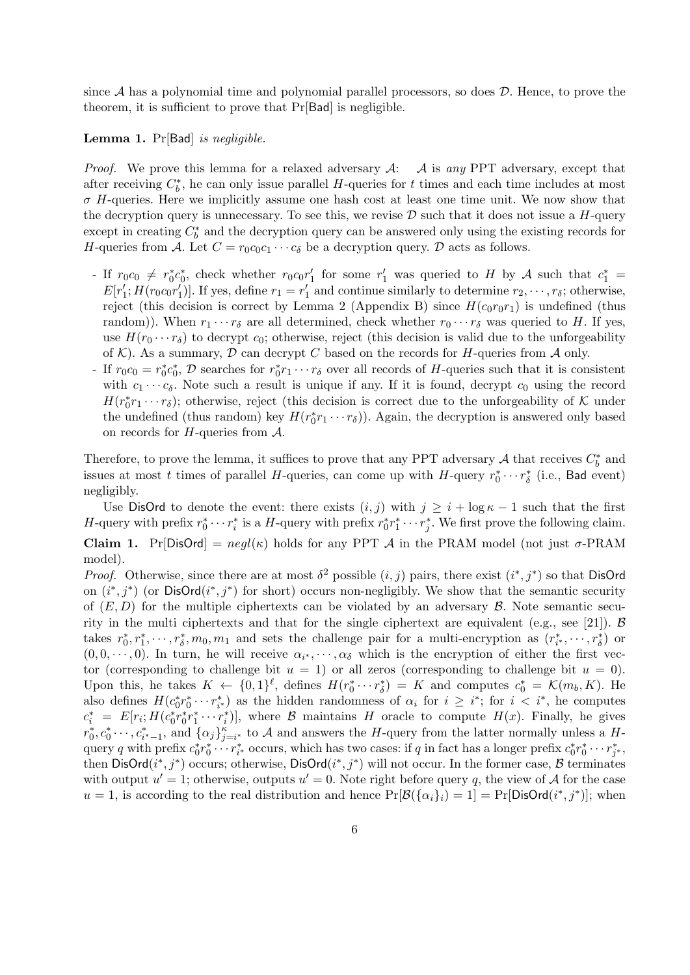since *A* has a polynomial time and polynomial parallel processors, so does *D*. Hence, to prove the theorem, it is sufficient to prove that Pr[Bad] is negligible.

#### **Lemma 1.** Pr[Bad] *is negligible.*

*Proof.* We prove this lemma for a relaxed adversary *A*: *A* is *any* PPT adversary, except that after receiving  $C_b^*$ , he can only issue parallel *H*-queries for *t* times and each time includes at most *σ H*-queries. Here we implicitly assume one hash cost at least one time unit. We now show that the decryption query is unnecessary. To see this, we revise  $D$  such that it does not issue a *H*-query except in creating  $C_b^*$  and the decryption query can be answered only using the existing records for *H*-queries from *A*. Let  $C = r_0 c_0 c_1 \cdots c_{\delta}$  be a decryption query. *D* acts as follows.

- If  $r_0c_0 \neq r_0^*c_0^*$ , check whether  $r_0c_0r_1'$  for some  $r_1'$  was queried to H by A such that  $c_1^*$  $E[r_1'; H(r_0 c_0 r_1')]$ . If yes, define  $r_1 = r_1'$  and continue similarly to determine  $r_2, \dots, r_\delta$ ; otherwise, reject (this decision is correct by Lemma 2 (Appendix B) since  $H(c_0r_0r_1)$  is undefined (thus random)). When  $r_1 \cdots r_\delta$  are all determined, check whether  $r_0 \cdots r_\delta$  was queried to *H*. If yes, use  $H(r_0 \cdots r_\delta)$  to decrypt  $c_0$ ; otherwise, reject (this decision is valid due to the unforgeability of  $K$ ). As a summary,  $D$  can decrypt  $C$  based on the records for  $H$ -queries from  $A$  only.
- $\cdot$  If  $r_0c_0 = r_0^*c_0^*, \mathcal{D}$  searches for  $r_0^*r_1 \cdots r_\delta$  over all records of *H*-queries such that it is consistent with  $c_1 \cdots c_\delta$ . Note such a result is unique if any. If it is found, decrypt  $c_0$  using the record  $H(r_0^*r_1\cdots r_\delta)$ ; otherwise, reject (this decision is correct due to the unforgeability of *K* under the undefined (thus random) key  $H(r_0^*r_1 \cdots r_\delta)$ ). Again, the decryption is answered only based on records for *H*-queries from *A*.

Therefore, to prove the lemma, it suffices to prove that any PPT adversary  $A$  that receives  $C_b^*$  and issues at most *t* times of parallel *H*-queries, can come up with *H*-query  $r_0^* \cdots r_\delta^*$  (i.e., Bad event) negligibly.

Use DisOrd to denote the event: there exists  $(i, j)$  with  $j \geq i + \log \kappa - 1$  such that the first H-query with prefix  $r_0^* \cdots r_i^*$  is a H-query with prefix  $r_0^* r_1^* \cdots r_j^*$ . We first prove the following claim. **Claim 1.** Pr[DisOrd] =  $negl(\kappa)$  holds for any PPT *A* in the PRAM model (not just  $\sigma$ -PRAM model).

*Proof.* Otherwise, since there are at most  $\delta^2$  possible  $(i, j)$  pairs, there exist  $(i^*, j^*)$  so that DisOrd on  $(i^*, j^*)$  (or DisOrd $(i^*, j^*)$  for short) occurs non-negligibly. We show that the semantic security of  $(E, D)$  for the multiple ciphertexts can be violated by an adversary  $\beta$ . Note semantic security in the multi ciphertexts and that for the single ciphertext are equivalent (e.g., see [21]). *B* takes  $r_0^*, r_1^*, \dots, r_\delta^*, m_0, m_1$  and sets the challenge pair for a multi-encryption as  $(r_{i^*}^*, \dots, r_\delta^*)$  or  $(0,0,\dots,0)$ . In turn, he will receive  $\alpha_{i^*},\dots,\alpha_{\delta}$  which is the encryption of either the first vector (corresponding to challenge bit  $u = 1$ ) or all zeros (corresponding to challenge bit  $u = 0$ ). Upon this, he takes  $K \leftarrow \{0,1\}^{\ell}$ , defines  $H(r_0^* \cdots r_{\delta}^*) = K$  and computes  $c_0^* = \mathcal{K}(m_b, K)$ . He also defines  $H(c_0^*r_0^*\cdots r_{i^*}^*)$  as the hidden randomness of  $\alpha_i$  for  $i \geq i^*$ ; for  $i < i^*$ , he computes  $c_i^* = E[r_i; H(c_0^*r_0^*r_1^* \cdots r_i^*)]$ , where  $\mathcal B$  maintains  $H$  oracle to compute  $H(x)$ . Finally, he gives  $r_0^*, c_0^*, \ldots, c_{i^*-1}^*,$  and  $\{\alpha_j\}_{j=i^*}^{\kappa}$  to A and answers the H-query from the latter normally unless a Hquery q with prefix  $c_0^*r_0^*\cdots r_{i^*}^*$  occurs, which has two cases: if q in fact has a longer prefix  $c_0^*r_0^*\cdots r_{j^*}^*$ , then  $\text{DisOrd}(i^*,j^*)$  occurs; otherwise,  $\text{DisOrd}(i^*,j^*)$  will not occur. In the former case,  $\mathcal B$  terminates with output  $u' = 1$ ; otherwise, outputs  $u' = 0$ . Note right before query q, the view of A for the case  $u = 1$ , is according to the real distribution and hence  $Pr[\mathcal{B}(\{\alpha_i\}_i) = 1] = Pr[\text{DisOrd}(i^*, j^*)]$ ; when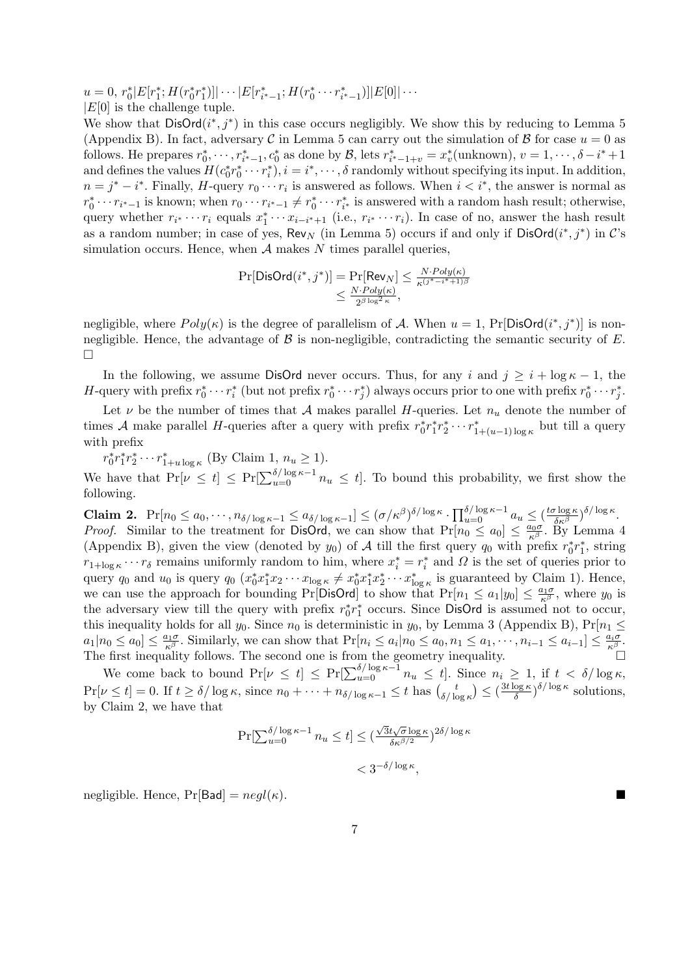$u = 0, r_0^* |E[r_1^*; H(r_0^*r_1^*)]| \cdots |E[r_{i^*-1}^*; H(r_0^* \cdots r_{i^*-1}^*)]|E[0]| \cdots$ *|E*[0] is the challenge tuple.

We show that  $\text{DisOrd}(i^*,j^*)$  in this case occurs negligibly. We show this by reducing to Lemma 5 (Appendix B). In fact, adversary *C* in Lemma 5 can carry out the simulation of *B* for case  $u = 0$  as follows. He prepares  $r_0^*, \dots, r_{i^*-1}^*, c_0^*$  as done by  $\mathcal{B}$ , lets  $r_{i^*-1+v}^* = x_v^*$  (unknown),  $v = 1, \dots, \delta - i^* + 1$ and defines the values  $H(c_0^*r_0^*\cdots r_i^*), i = i^*, \cdots, \delta$  randomly without specifying its input. In addition,  $n = j^* - i^*$ . Finally, *H*-query  $r_0 \cdots r_i$  is answered as follows. When  $i < i^*$ , the answer is normal as  $r_0^* \cdots r_{i^*-1}$  is known; when  $r_0 \cdots r_{i^*-1} \neq r_0^* \cdots r_{i^*}^*$  is answered with a random hash result; otherwise, query whether  $r_{i^*}\cdots r_i$  equals  $x_1^*\cdots x_{i-i^*+1}$  (i.e.,  $r_{i^*}\cdots r_i$ ). In case of no, answer the hash result as a random number; in case of yes,  $\text{Rev}_N$  (in Lemma 5) occurs if and only if  $\text{DisOrd}(i^*,j^*)$  in  $\mathcal{C}$ 's simulation occurs. Hence, when *A* makes *N* times parallel queries,

$$
\Pr[\text{DisOrd}(i^*, j^*)] = \Pr[\text{Rev}_N] \le \frac{N \cdot Poly(\kappa)}{\kappa^{(j^* - i^* + 1)\beta}} \\ \le \frac{N \cdot Poly(\kappa)}{2^{\beta \log^2 \kappa}},
$$

negligible, where  $Poly(\kappa)$  is the degree of parallelism of *A*. When  $u = 1$ ,  $Pr[DisOrd(i^*,j^*)]$  is nonnegligible. Hence, the advantage of  $\beta$  is non-negligible, contradicting the semantic security of  $E$ .  $\Box$ 

In the following, we assume DisOrd never occurs. Thus, for any *i* and  $j \geq i + \log \kappa - 1$ , the H-query with prefix  $r_0^* \cdots r_i^*$  (but not prefix  $r_0^* \cdots r_j^*$ ) always occurs prior to one with prefix  $r_0^* \cdots r_j^*$ .

Let  $\nu$  be the number of times that *A* makes parallel *H*-queries. Let  $n_u$  denote the number of times *A* make parallel *H*-queries after a query with prefix  $r_0^* r_1^* r_2^* \cdots r_{1+(u-1)\log \kappa}^*$  but till a query with prefix

 $r_0^* r_1^* r_2^* \cdots r_{1+u \log \kappa}^*$  (By Claim 1,  $n_u \ge 1$ ). We have that  $Pr[\nu \le t] \le Pr[\sum_{u=0}^{\delta/\log \kappa-1} n_u \le t]$ . To bound this probability, we first show the following.

**Claim 2.**  $Pr[n_0 \le a_0, \dots, n_{\delta/\log \kappa - 1} \le a_{\delta/\log \kappa - 1}] \le (\sigma/\kappa^{\beta})^{\delta/\log \kappa} \cdot \prod_{u=0}^{\delta/\log \kappa - 1} a_u \le (\frac{t\sigma \log \kappa}{\delta \kappa^{\beta}})^{\delta/\log \kappa}$ . *Proof.* Similar to the treatment for DisOrd, we can show that  $Pr[n_0 \le a_0] \le \frac{a_0 \sigma}{\kappa^{\beta}}$ . By Lemma 4 (Appendix B), given the view (denoted by  $y_0$ ) of  $A$  till the first query  $q_0$  with prefix  $r_0^*r_1^*$ , string  $r_{1+\log \kappa} \cdots r_{\delta}$  remains uniformly random to him, where  $x_i^* = r_i^*$  and  $\Omega$  is the set of queries prior to query  $q_0$  and  $u_0$  is query  $q_0$   $(x_0^*x_1^*x_2\cdots x_{\log \kappa} \neq x_0^*x_1^*x_2^*\cdots x_{\log \kappa}^*$  is guaranteed by Claim 1). Hence, we can use the approach for bounding Pr[DisOrd] to show that  $Pr[n_1 \le a_1|y_0] \le \frac{a_1\sigma}{\kappa^{\beta}}$ , where  $y_0$  is the adversary view till the query with prefix  $r_0^* r_1^*$  occurs. Since DisOrd is assumed not to occur, this inequality holds for all  $y_0$ . Since  $n_0$  is deterministic in  $y_0$ , by Lemma 3 (Appendix B),  $Pr[n_1 \leq$  $a_1|n_0 \leq a_0$   $\leq \frac{a_1\sigma}{\kappa^{\beta}}$ . Similarly, we can show that  $Pr[n_i \leq a_i|n_0 \leq a_0, n_1 \leq a_1, \dots, n_{i-1} \leq a_{i-1}] \leq \frac{a_i\sigma}{\kappa^{\beta}}$ . The first inequality follows. The second one is from the geometry inequality.  $\square$ 

We come back to bound  $Pr[\nu \le t] \le Pr[\sum_{u=0}^{\delta/\log \kappa - 1} n_u \le t]$ . Since  $n_i \ge 1$ , if  $t < \delta/\log \kappa$ ,  $\Pr[\nu \le t] = 0$ . If  $t \ge \delta / \log \kappa$ , since  $n_0 + \cdots + n_{\delta / \log \kappa - 1} \le t$  has  $\binom{t}{\delta / \log \kappa}$  $\left(\frac{t}{\delta / \log \kappa}\right) \leq \left(\frac{3t \log \kappa}{\delta}\right)$  $\frac{\log \kappa}{\delta}$ <sup> $\delta/\log \kappa$ </sup> solutions, by Claim 2, we have that

$$
\Pr[\sum_{u=0}^{\delta/\log \kappa - 1} n_u \le t] \le (\frac{\sqrt{3}t\sqrt{\sigma}\log \kappa}{\delta \kappa^{\beta/2}})^{2\delta/\log \kappa} < 3^{-\delta/\log \kappa},
$$

negligible. Hence,  $Pr[Bad] = negl(\kappa)$ .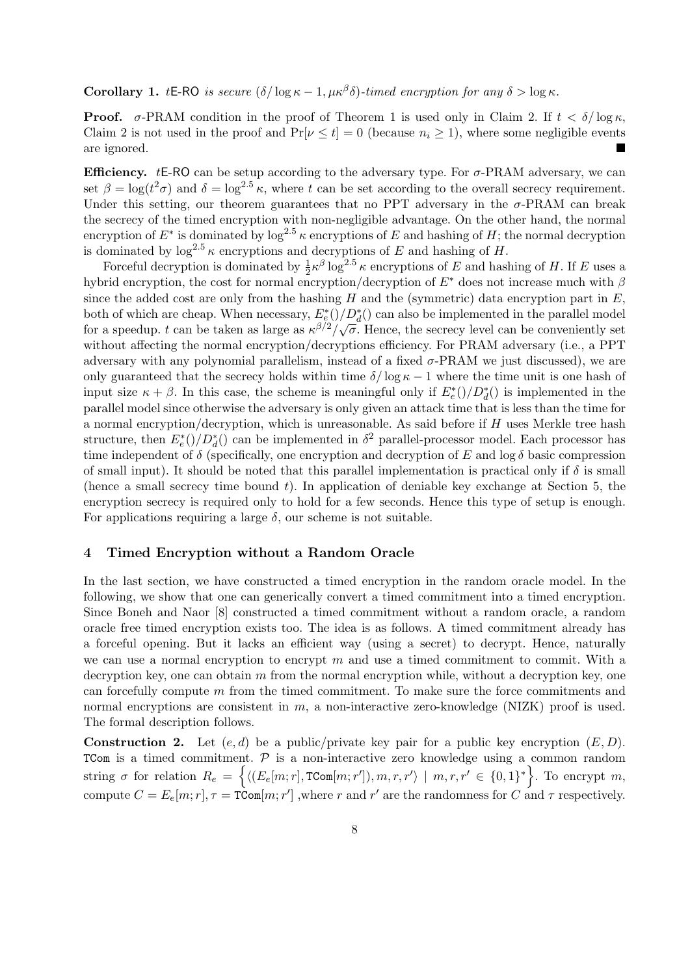**Corollary 1.** *t***E-RO** *is secure*  $(\delta/\log \kappa - 1, \mu \kappa^{\beta} \delta)$ *-timed encryption for any*  $\delta > \log \kappa$ *.* 

**Proof.** *σ*-PRAM condition in the proof of Theorem 1 is used only in Claim 2. If  $t < \delta/\log \kappa$ , Claim 2 is not used in the proof and  $Pr[\nu \le t] = 0$  (because  $n_i \ge 1$ ), where some negligible events are ignored.

**Efficiency.** *t***E-RO** can be setup according to the adversary type. For  $\sigma$ -PRAM adversary, we can set  $\beta = \log(t^2 \sigma)$  and  $\delta = \log^{2.5} \kappa$ , where *t* can be set according to the overall secrecy requirement. Under this setting, our theorem guarantees that no PPT adversary in the *σ*-PRAM can break the secrecy of the timed encryption with non-negligible advantage. On the other hand, the normal encryption of  $E^*$  is dominated by  $\log^{2.5} \kappa$  encryptions of  $E$  and hashing of  $H$ ; the normal decryption is dominated by  $\log^{2.5} \kappa$  encryptions and decryptions of *E* and hashing of *H*.

Forceful decryption is dominated by  $\frac{1}{2} \kappa^{\beta} \log^{2.5} \kappa$  encryptions of *E* and hashing of *H*. If *E* uses a hybrid encryption, the cost for normal encryption/decryption of *E∗* does not increase much with *β* since the added cost are only from the hashing  $H$  and the (symmetric) data encryption part in  $E$ , both of which are cheap. When necessary,  $E_e^*()/D_d^*(\mathbf{r})$  can also be implemented in the parallel model for a speedup. *t* can be taken as large as  $\kappa^{\beta/2}/\sqrt{\sigma}$ . Hence, the secrecy level can be conveniently set without affecting the normal encryption/decryptions efficiency. For PRAM adversary (i.e., a PPT adversary with any polynomial parallelism, instead of a fixed *σ*-PRAM we just discussed), we are only guaranteed that the secrecy holds within time  $\delta/\log \kappa - 1$  where the time unit is one hash of input size  $\kappa + \beta$ . In this case, the scheme is meaningful only if  $E_e^*()/D_d^*()$  is implemented in the parallel model since otherwise the adversary is only given an attack time that is less than the time for a normal encryption/decryption, which is unreasonable. As said before if *H* uses Merkle tree hash structure, then  $E_e^*(t)/D_d^*(t)$  can be implemented in  $\delta^2$  parallel-processor model. Each processor has time independent of  $\delta$  (specifically, one encryption and decryption of *E* and  $\log \delta$  basic compression of small input). It should be noted that this parallel implementation is practical only if  $\delta$  is small (hence a small secrecy time bound *t*). In application of deniable key exchange at Section 5, the encryption secrecy is required only to hold for a few seconds. Hence this type of setup is enough. For applications requiring a large  $\delta$ , our scheme is not suitable.

# **4 Timed Encryption without a Random Oracle**

In the last section, we have constructed a timed encryption in the random oracle model. In the following, we show that one can generically convert a timed commitment into a timed encryption. Since Boneh and Naor [8] constructed a timed commitment without a random oracle, a random oracle free timed encryption exists too. The idea is as follows. A timed commitment already has a forceful opening. But it lacks an efficient way (using a secret) to decrypt. Hence, naturally we can use a normal encryption to encrypt  $m$  and use a timed commitment to commit. With a decryption key, one can obtain *m* from the normal encryption while, without a decryption key, one can forcefully compute *m* from the timed commitment. To make sure the force commitments and normal encryptions are consistent in *m*, a non-interactive zero-knowledge (NIZK) proof is used. The formal description follows.

**Construction 2.** Let  $(e, d)$  be a public/private key pair for a public key encryption  $(E, D)$ . TCom is a timed commitment. *P* is a non-interactive zero knowledge using a common random string  $\sigma$  for relation  $R_e = \left\{ \langle (E_e[m; r], \text{TCom}[m; r']) , m, r, r' \rangle \mid m, r, r' \in \{0, 1\}^* \right\}$ . To encrypt m, compute  $C = E_e[m; r], \tau = \text{TCom}[m; r']$ , where *r* and  $r'$  are the randomness for *C* and  $\tau$  respectively.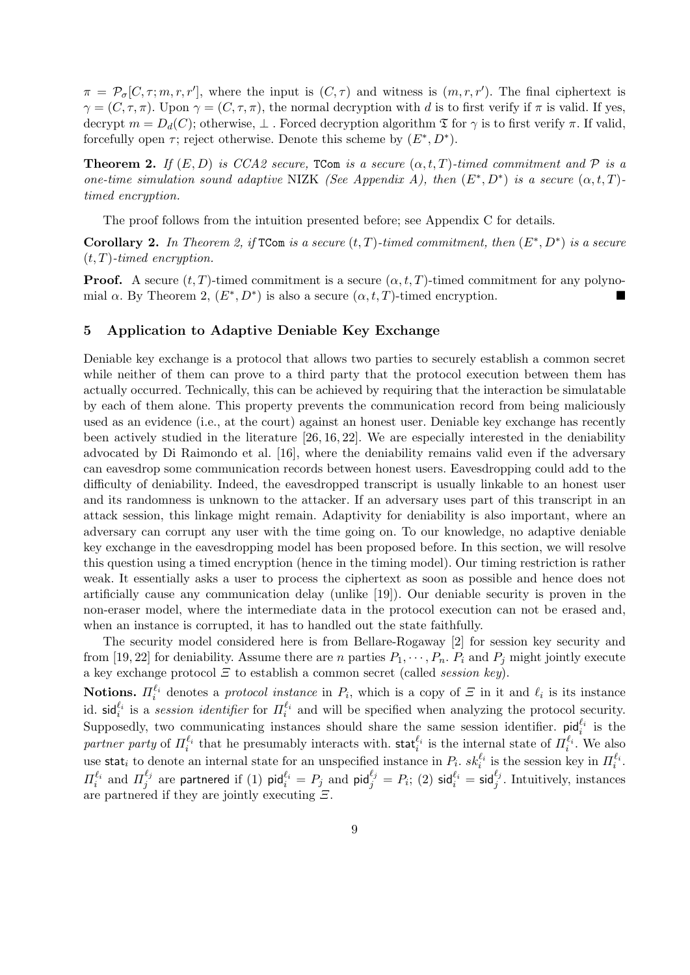$\pi = \mathcal{P}_{\sigma}[C, \tau; m, r, r']$ , where the input is  $(C, \tau)$  and witness is  $(m, r, r')$ . The final ciphertext is  $\gamma = (C, \tau, \pi)$ . Upon  $\gamma = (C, \tau, \pi)$ , the normal decryption with *d* is to first verify if  $\pi$  is valid. If yes, decrypt  $m = D_d(C)$ ; otherwise,  $\perp$ . Forced decryption algorithm  $\mathfrak T$  for  $\gamma$  is to first verify  $\pi$ . If valid, forcefully open  $\tau$ ; reject otherwise. Denote this scheme by  $(E^*, D^*)$ .

**Theorem 2.** *If*  $(E, D)$  *is CCA2 secure,* TCom *is a secure*  $(\alpha, t, T)$ *-timed commitment and*  $P$  *is a one-time simulation sound adaptive* NIZK *(See Appendix A), then*  $(E^*, D^*)$  *is a secure*  $(\alpha, t, T)$ *timed encryption.*

The proof follows from the intuition presented before; see Appendix C for details.

**Corollary 2.** In Theorem 2, if  $TCom$  is a secure  $(t, T)$ -timed commitment, then  $(E^*, D^*)$  is a secure (*t, T*)*-timed encryption.*

**Proof.** A secure  $(t, T)$ -timed commitment is a secure  $(\alpha, t, T)$ -timed commitment for any polynomial  $\alpha$ . By Theorem 2,  $(E^*, D^*)$  is also a secure  $(\alpha, t, T)$ -timed encryption.

# **5 Application to Adaptive Deniable Key Exchange**

Deniable key exchange is a protocol that allows two parties to securely establish a common secret while neither of them can prove to a third party that the protocol execution between them has actually occurred. Technically, this can be achieved by requiring that the interaction be simulatable by each of them alone. This property prevents the communication record from being maliciously used as an evidence (i.e., at the court) against an honest user. Deniable key exchange has recently been actively studied in the literature [26, 16, 22]. We are especially interested in the deniability advocated by Di Raimondo et al. [16], where the deniability remains valid even if the adversary can eavesdrop some communication records between honest users. Eavesdropping could add to the difficulty of deniability. Indeed, the eavesdropped transcript is usually linkable to an honest user and its randomness is unknown to the attacker. If an adversary uses part of this transcript in an attack session, this linkage might remain. Adaptivity for deniability is also important, where an adversary can corrupt any user with the time going on. To our knowledge, no adaptive deniable key exchange in the eavesdropping model has been proposed before. In this section, we will resolve this question using a timed encryption (hence in the timing model). Our timing restriction is rather weak. It essentially asks a user to process the ciphertext as soon as possible and hence does not artificially cause any communication delay (unlike [19]). Our deniable security is proven in the non-eraser model, where the intermediate data in the protocol execution can not be erased and, when an instance is corrupted, it has to handled out the state faithfully.

The security model considered here is from Bellare-Rogaway [2] for session key security and from [19, 22] for deniability. Assume there are *n* parties  $P_1, \dots, P_n$ .  $P_i$  and  $P_j$  might jointly execute a key exchange protocol *Ξ* to establish a common secret (called *session key*).

**Notions.**  $\Pi_i^{\ell_i}$  denotes a *protocol instance* in  $P_i$ , which is a copy of  $\Xi$  in it and  $\ell_i$  is its instance id.  $\mathsf{sid}_i^{\ell_i}$  is a *session identifier* for  $\Pi_i^{\ell_i}$  and will be specified when analyzing the protocol security. Supposedly, two communicating instances should share the same session identifier.  $p_i d_i^{\ell_i}$  is the *partner party* of  $\Pi_i^{\ell_i}$  that he presumably interacts with. stat<sup> $\ell_i$ </sup> is the internal state of  $\Pi_i^{\ell_i}$ . We also use stat<sub>*i*</sub> to denote an internal state for an unspecified instance in  $P_i$ .  $sk_i^{\ell_i}$  is the session key in  $\Pi_i^{\ell_i}$ . *Π*<sup> $\ell_i$ </sup> and *Π*<sup> $\ell_j$ </sup>  $\frac{\ell_j}{j}$  are partnered if (1) pid $\ell_i^{ \ell_i}=P_j$  and pid $\ell_j^{ \ell_j}=P_i;$  (2) sid $\ell_i^{ \ell_i}=$  sid $\ell_j^{ \ell_j}.$  Intuitively, instances are partnered if they are jointly executing *Ξ*.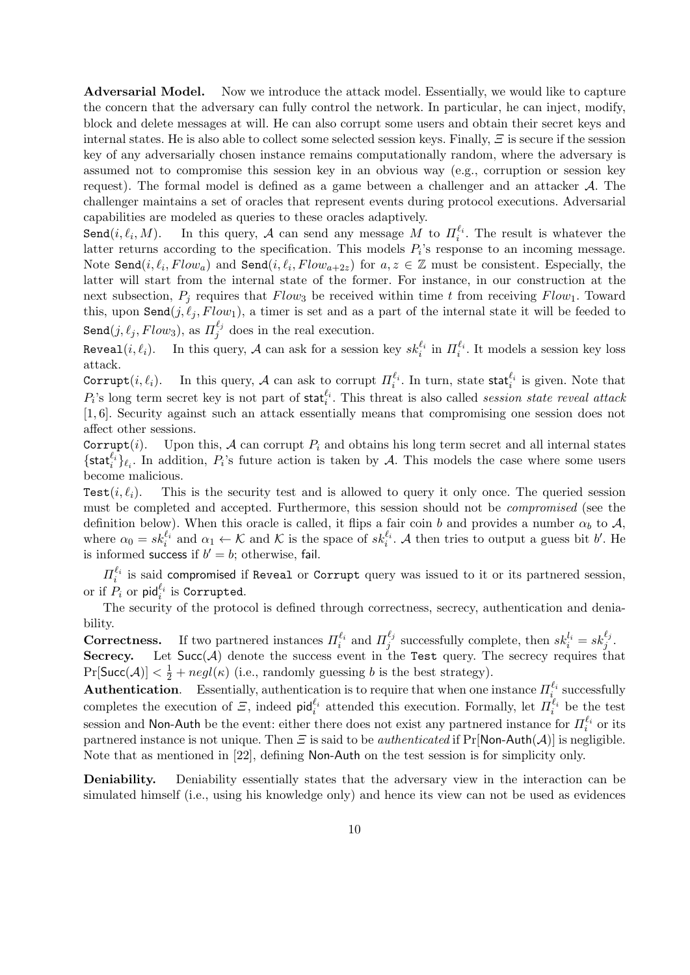Adversarial Model. Now we introduce the attack model. Essentially, we would like to capture the concern that the adversary can fully control the network. In particular, he can inject, modify, block and delete messages at will. He can also corrupt some users and obtain their secret keys and internal states. He is also able to collect some selected session keys. Finally, *Ξ* is secure if the session key of any adversarially chosen instance remains computationally random, where the adversary is assumed not to compromise this session key in an obvious way (e.g., corruption or session key request). The formal model is defined as a game between a challenger and an attacker *A*. The challenger maintains a set of oracles that represent events during protocol executions. Adversarial capabilities are modeled as queries to these oracles adaptively.

 $Send(i, \ell_i, M)$ . *, M*). In this query, *A* can send any message *M* to  $\Pi_i^{\ell_i}$ . The result is whatever the latter returns according to the specification. This models  $P_i$ 's response to an incoming message. Note Send $(i, \ell_i, Flow_a)$  and Send $(i, \ell_i, Flow_{a+2z})$  for  $a, z \in \mathbb{Z}$  must be consistent. Especially, the latter will start from the internal state of the former. For instance, in our construction at the next subsection,  $P_i$  requires that  $Flow_3$  be received within time t from receiving  $Flow_1$ . Toward this, upon  $\texttt{Send}(j, \ell_j, Flow_1)$ , a timer is set and as a part of the internal state it will be feeded to  $\texttt{Send}(j, \ell_j, Flow_3), \text{ as } \Pi_j^{\ell_j}$  $\frac{\tau_j}{j}$  does in the real execution.

Reveal(*i*,  $\ell_i$ ). In this query, *A* can ask for a session key  $sk_i^{\ell_i}$  in  $\Pi_i^{\ell_i}$ . It models a session key loss attack.

Corrupt $(i, \ell_i)$ . In this query, *A* can ask to corrupt  $\Pi_i^{\ell_i}$ . In turn, state stat $_i^{\ell_i}$  is given. Note that  $P_i$ 's long term secret key is not part of stat<sup> $\ell_i$ </sup>. This threat is also called *session state reveal attack* [1, 6]. Security against such an attack essentially means that compromising one session does not affect other sessions.

Corrupt $(i)$ . Upon this,  $A$  can corrupt  $P_i$  and obtains his long term secret and all internal states  $\{\text{stat}_i^{\ell_i}\}_{\ell_i}$ . In addition,  $P_i$ 's future action is taken by *A*. This models the case where some users become malicious.

Test $(i, \ell_i)$ . This is the security test and is allowed to query it only once. The queried session must be completed and accepted. Furthermore, this session should not be *compromised* (see the definition below). When this oracle is called, it flips a fair coin *b* and provides a number  $\alpha_b$  to  $\mathcal{A}$ , where  $\alpha_0 = sk_i^{\ell_i}$  and  $\alpha_1 \leftarrow \mathcal{K}$  and  $\mathcal{K}$  is the space of  $sk_i^{\ell_i}$ . A then tries to output a guess bit *b'*. He is informed success if  $b' = b$ ; otherwise, fail.

 $\Pi_i^{\ell_i}$  is said compromised if Reveal or Corrupt query was issued to it or its partnered session, or if  $P_i$  or  $\mathsf{pid}_i^{\ell_i}$  is Corrupted.

The security of the protocol is defined through correctness, secrecy, authentication and deniability.

**Correctness.** If two partnered instances  $\Pi_i^{\ell_i}$  and  $\Pi_j^{\ell_j}$  $j^{l_j}$  successfully complete, then  $sk_i^{l_i} = sk_j^{\ell_j}$ . **Secrecy.** Let  $Succ(A)$  denote the success event in the Test query. The secrecy requires that  $Pr[\text{Succ}(\mathcal{A})] < \frac{1}{2} + negl(\kappa)$  (i.e., randomly guessing *b* is the best strategy).

**Authentication**. Essentially, authentication is to require that when one instance  $\Pi_i^{\ell_i}$  successfully completes the execution of  $\mathcal{Z}$ , indeed pid $_i^{\ell_i}$  attended this execution. Formally, let  $\Pi_i^{\ell_i}$  be the test session and Non-Auth be the event: either there does not exist any partnered instance for  $\Pi_i^{\ell_i}$  or its partnered instance is not unique. Then *Ξ* is said to be *authenticated* if Pr[Non-Auth(*A*)] is negligible. Note that as mentioned in [22], defining Non-Auth on the test session is for simplicity only.

**Deniability.** Deniability essentially states that the adversary view in the interaction can be simulated himself (i.e., using his knowledge only) and hence its view can not be used as evidences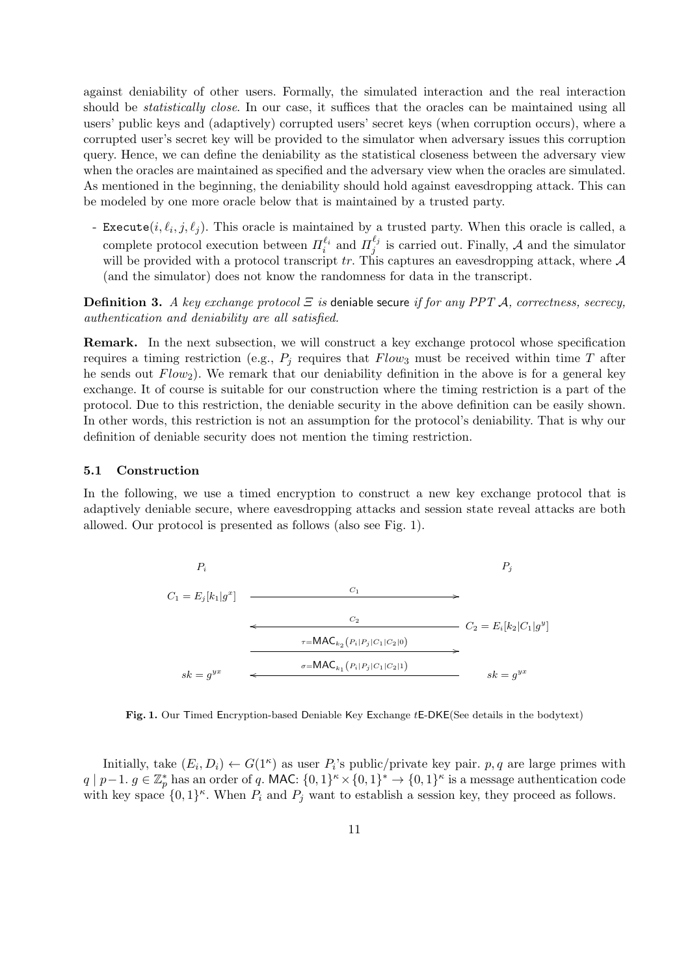against deniability of other users. Formally, the simulated interaction and the real interaction should be *statistically close*. In our case, it suffices that the oracles can be maintained using all users' public keys and (adaptively) corrupted users' secret keys (when corruption occurs), where a corrupted user's secret key will be provided to the simulator when adversary issues this corruption query. Hence, we can define the deniability as the statistical closeness between the adversary view when the oracles are maintained as specified and the adversary view when the oracles are simulated. As mentioned in the beginning, the deniability should hold against eavesdropping attack. This can be modeled by one more oracle below that is maintained by a trusted party.

- Execute $(i, \ell_i, j, \ell_j)$ . This oracle is maintained by a trusted party. When this oracle is called, a complete protocol execution between  $\Pi_i^{\ell_i}$  and  $\Pi_j^{\ell_j}$  $\frac{\lambda_{i,j}}{j}$  is carried out. Finally, *A* and the simulator will be provided with a protocol transcript *tr.* This captures an eavesdropping attack, where *A* (and the simulator) does not know the randomness for data in the transcript.

**Definition 3.** *A key exchange protocol Ξ is* deniable secure *if for any PPT A, correctness, secrecy, authentication and deniability are all satisfied.*

**Remark.** In the next subsection, we will construct a key exchange protocol whose specification requires a timing restriction (e.g.,  $P_j$  requires that  $Flow_3$  must be received within time  $T$  after he sends out *Flow*2). We remark that our deniability definition in the above is for a general key exchange. It of course is suitable for our construction where the timing restriction is a part of the protocol. Due to this restriction, the deniable security in the above definition can be easily shown. In other words, this restriction is not an assumption for the protocol's deniability. That is why our definition of deniable security does not mention the timing restriction.

#### **5.1 Construction**

In the following, we use a timed encryption to construct a new key exchange protocol that is adaptively deniable secure, where eavesdropping attacks and session state reveal attacks are both allowed. Our protocol is presented as follows (also see Fig. 1).



**Fig. 1.** Our Timed Encryption-based Deniable Key Exchange *t*E-DKE(See details in the bodytext)

Initially, take  $(E_i, D_i) \leftarrow G(1^{\kappa})$  as user  $P_i$ 's public/private key pair.  $p, q$  are large primes with  $q \mid p-1.$   $g \in \mathbb{Z}_p^*$  has an order of q. MAC:  $\{0,1\}^k \times \{0,1\}^* \to \{0,1\}^k$  is a message authentication code with key space  $\{0,1\}^{\kappa}$ . When  $P_i$  and  $P_j$  want to establish a session key, they proceed as follows.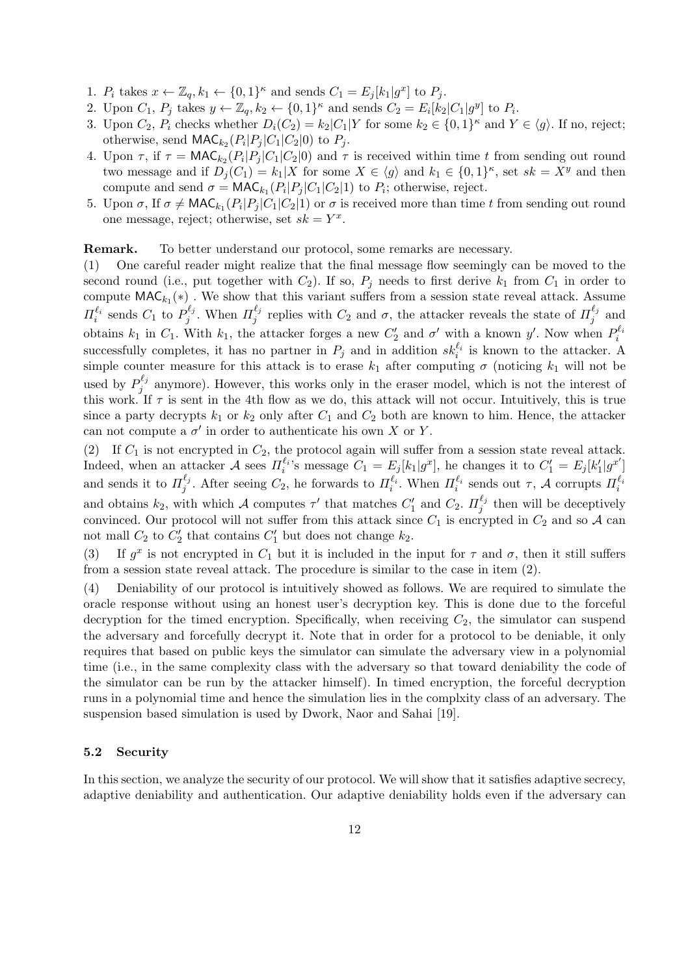- 1.  $P_i$  takes  $x \leftarrow \mathbb{Z}_q, k_1 \leftarrow \{0, 1\}^{\kappa}$  and sends  $C_1 = E_j[k_1|g^x]$  to  $P_j$ .
- 2. Upon  $C_1$ ,  $P_j$  takes  $y \leftarrow \mathbb{Z}_q$ ,  $k_2 \leftarrow \{0,1\}^{\kappa}$  and sends  $C_2 = E_i[k_2|C_1|g^y]$  to  $P_i$ .
- 3. Upon  $C_2$ ,  $P_i$  checks whether  $D_i(C_2) = k_2 |C_1|$  for some  $k_2 \in \{0,1\}^{\kappa}$  and  $Y \in \langle g \rangle$ . If no, reject; otherwise, send  $\mathsf{MAC}_{k_2}(P_i|P_j|C_1|C_2|0)$  to  $P_j$ .
- 4. Upon  $\tau$ , if  $\tau = \text{MAC}_{k_2}(P_i|P_j|C_1|C_2|0)$  and  $\tau$  is received within time *t* from sending out round two message and if  $D_j(C_1) = k_1 | X$  for some  $X \in \langle g \rangle$  and  $k_1 \in \{0,1\}^{\kappa}$ , set  $sk = X^y$  and then compute and send  $\sigma = \text{MAC}_{k_1}(P_i|P_j|C_1|C_2|1)$  to  $P_i$ ; otherwise, reject.
- 5. Upon  $\sigma$ , If  $\sigma \neq \text{MAC}_{k_1}(P_i|P_j|C_1|C_2|1)$  or  $\sigma$  is received more than time *t* from sending out round one message, reject; otherwise, set  $sk = Y^x$ .

#### **Remark.** To better understand our protocol, some remarks are necessary.

(1) One careful reader might realize that the final message flow seemingly can be moved to the second round (i.e., put together with  $C_2$ ). If so,  $P_i$  needs to first derive  $k_1$  from  $C_1$  in order to compute  $\mathsf{MAC}_{k_1}(\ast)$ . We show that this variant suffers from a session state reveal attack. Assume *Π*<sup> $\ell_i$ </sup> sends *C*<sub>1</sub> to *P*<sup> $\ell_j$ </sup><sub>*j*</sub>  $J_j^{\ell_j}$ . When  $\Pi_j^{\ell_j}$ *<sup>* $l_j$ *</sup>* replies with  $C_2$  and  $\sigma$ , the attacker reveals the state of  $\Pi_j^{\ell_j}$  $j^{i_j}$  and obtains  $k_1$  in  $C_1$ . With  $k_1$ , the attacker forges a new  $C'_2$  and  $\sigma'$  with a known  $y'$ . Now when  $P_i^{\ell_i}$ successfully completes, it has no partner in  $P_j$  and in addition  $sk_i^{\ell_i}$  is known to the attacker. A simple counter measure for this attack is to erase  $k_1$  after computing  $\sigma$  (noticing  $k_1$  will not be used by  $P_i^{\ell_j}$  $j_j^{\epsilon_j}$  anymore). However, this works only in the eraser model, which is not the interest of this work. If  $\tau$  is sent in the 4th flow as we do, this attack will not occur. Intuitively, this is true since a party decrypts  $k_1$  or  $k_2$  only after  $C_1$  and  $C_2$  both are known to him. Hence, the attacker can not compute a  $\sigma'$  in order to authenticate his own *X* or *Y*.

(2) If *C*<sup>1</sup> is not encrypted in *C*2, the protocol again will suffer from a session state reveal attack. Indeed, when an attacker A sees  $\Pi_i^{\ell_i}$ 's message  $C_1 = E_j[k_1|g^x]$ , he changes it to  $C'_1 = E_j[k'_1|g^{x'}]$ and sends it to  $\Pi_i^{\ell_j}$ *<sup>* $l_j$ *</sup>*. After seeing  $C_2$ , he forwards to  $\Pi_i^{\ell_i}$ . When  $\Pi_i^{\ell_i}$  sends out  $\tau$ , *A* corrupts  $\Pi_i^{\ell_i}$ and obtains  $k_2$ , with which *A* computes  $\tau'$  that matches  $C'_1$  and  $C_2$ .  $\Pi_j^{\ell_j}$  $\frac{f^{t_j}}{j}$  then will be deceptively convinced. Our protocol will not suffer from this attack since  $C_1$  is encrypted in  $C_2$  and so  $\mathcal A$  can not mall  $C_2$  to  $C'_2$  that contains  $C'_1$  but does not change  $k_2$ .

(3) If  $g^x$  is not encrypted in  $C_1$  but it is included in the input for  $\tau$  and  $\sigma$ , then it still suffers from a session state reveal attack. The procedure is similar to the case in item (2).

(4) Deniability of our protocol is intuitively showed as follows. We are required to simulate the oracle response without using an honest user's decryption key. This is done due to the forceful decryption for the timed encryption. Specifically, when receiving  $C_2$ , the simulator can suspend the adversary and forcefully decrypt it. Note that in order for a protocol to be deniable, it only requires that based on public keys the simulator can simulate the adversary view in a polynomial time (i.e., in the same complexity class with the adversary so that toward deniability the code of the simulator can be run by the attacker himself). In timed encryption, the forceful decryption runs in a polynomial time and hence the simulation lies in the complxity class of an adversary. The suspension based simulation is used by Dwork, Naor and Sahai [19].

# **5.2 Security**

In this section, we analyze the security of our protocol. We will show that it satisfies adaptive secrecy, adaptive deniability and authentication. Our adaptive deniability holds even if the adversary can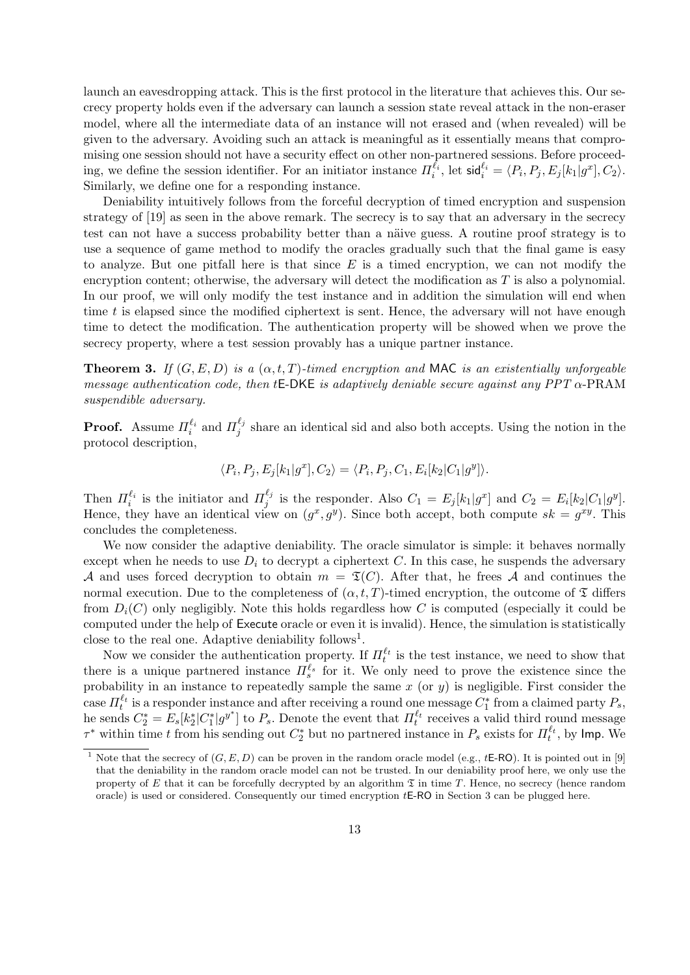launch an eavesdropping attack. This is the first protocol in the literature that achieves this. Our secrecy property holds even if the adversary can launch a session state reveal attack in the non-eraser model, where all the intermediate data of an instance will not erased and (when revealed) will be given to the adversary. Avoiding such an attack is meaningful as it essentially means that compromising one session should not have a security effect on other non-partnered sessions. Before proceeding, we define the session identifier. For an initiator instance  $\Pi_i^{\ell_i}$ , let  $\mathsf{sid}_i^{\ell_i} = \langle P_i, P_j, E_j[k_1|g^x], C_2 \rangle$ . Similarly, we define one for a responding instance.

Deniability intuitively follows from the forceful decryption of timed encryption and suspension strategy of [19] as seen in the above remark. The secrecy is to say that an adversary in the secrecy test can not have a success probability better than a näive guess. A routine proof strategy is to use a sequence of game method to modify the oracles gradually such that the final game is easy to analyze. But one pitfall here is that since *E* is a timed encryption, we can not modify the encryption content; otherwise, the adversary will detect the modification as *T* is also a polynomial. In our proof, we will only modify the test instance and in addition the simulation will end when time *t* is elapsed since the modified ciphertext is sent. Hence, the adversary will not have enough time to detect the modification. The authentication property will be showed when we prove the secrecy property, where a test session provably has a unique partner instance.

**Theorem 3.** If  $(G, E, D)$  *is a*  $(\alpha, t, T)$ *-timed encryption and* MAC *is an existentially unforgeable message authentication code, then t*E-DKE *is adaptively deniable secure against any PPT α*-PRAM *suspendible adversary.*

**Proof.** Assume  $\Pi_i^{\ell_i}$  and  $\Pi_j^{\ell_j}$  $j_j^{\epsilon_j}$  share an identical sid and also both accepts. Using the notion in the protocol description,

$$
\langle P_i, P_j, E_j[k_1|g^x], C_2 \rangle = \langle P_i, P_j, C_1, E_i[k_2|C_1|g^y] \rangle.
$$

Then  $\Pi_i^{\ell_i}$  is the initiator and  $\Pi_j^{\ell_j}$  $\frac{\ell_j}{j}$  is the responder. Also  $C_1 = E_j[k_1|g^x]$  and  $C_2 = E_i[k_2|C_1|g^y]$ . Hence, they have an identical view on  $(g^x, g^y)$ . Since both accept, both compute  $sk = g^{xy}$ . This concludes the completeness.

We now consider the adaptive deniability. The oracle simulator is simple: it behaves normally except when he needs to use  $D_i$  to decrypt a ciphertext  $C$ . In this case, he suspends the adversary *A* and uses forced decryption to obtain  $m = \mathfrak{T}(C)$ . After that, he frees *A* and continues the normal execution. Due to the completeness of  $(\alpha, t, T)$ -timed encryption, the outcome of  $\mathfrak T$  differs from  $D_i(C)$  only negligibly. Note this holds regardless how C is computed (especially it could be computed under the help of Execute oracle or even it is invalid). Hence, the simulation is statistically close to the real one. Adaptive deniability follows<sup>1</sup>.

Now we consider the authentication property. If  $\Pi_t^{\ell_t}$  is the test instance, we need to show that there is a unique partnered instance  $\Pi_s^{\ell_s}$  for it. We only need to prove the existence since the probability in an instance to repeatedly sample the same *x* (or *y*) is negligible. First consider the case  $\Pi_t^{\ell_t}$  is a responder instance and after receiving a round one message  $C_1^*$  from a claimed party  $P_s$ , he sends  $C_2^* = E_s[k_2^*|C_1^*|g^{y^*}]$  to  $P_s$ . Denote the event that  $\Pi_t^{\ell_t}$  receives a valid third round message  $\tau^*$  within time *t* from his sending out  $C_2^*$  but no partnered instance in  $P_s$  exists for  $\Pi_t^{\ell_t}$ , by Imp. We

<sup>&</sup>lt;sup>1</sup> Note that the secrecy of  $(G, E, D)$  can be proven in the random oracle model (e.g.,  $t\mathsf{E}\text{-}\mathsf{RO}$ ). It is pointed out in [9] that the deniability in the random oracle model can not be trusted. In our deniability proof here, we only use the property of  $E$  that it can be forcefully decrypted by an algorithm  $\mathfrak T$  in time  $T$ . Hence, no secrecy (hence random oracle) is used or considered. Consequently our timed encryption *t*E-RO in Section 3 can be plugged here.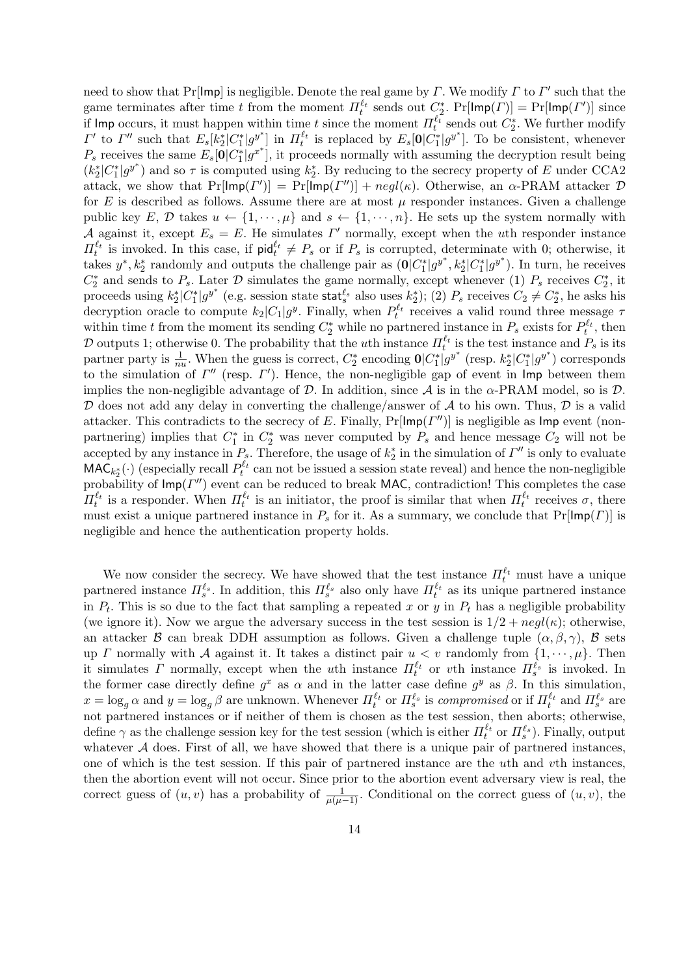need to show that Pr[Imp] is negligible. Denote the real game by *Γ*. We modify *Γ* to *Γ ′* such that the game terminates after time *t* from the moment  $\Pi_t^{\ell_t}$  sends out  $C_2^*$ .  $Pr[Imp(\Gamma)] = Pr[Imp(\Gamma')]$  since if  $\text{Imp}$  occurs, it must happen within time *t* since the moment  $\Pi_t^{\ell_t}$  sends out  $C_2^*$ . We further modify  $\Gamma'$  to  $\Gamma''$  such that  $E_s[k_2^*|C_1^*|g^{y^*}]$  in  $\Pi_t^{\ell_t}$  is replaced by  $E_s[0|C_1^*|g^{y^*}]$ . To be consistent, whenever  $P_s$  receives the same  $E_s[\mathbf{0}|C_1^*|g^{x^*}]$ , it proceeds normally with assuming the decryption result being  $(k_2^* | C_1^* | g^{y^*})$  and so  $\tau$  is computed using  $k_2^*$ . By reducing to the secrecy property of *E* under CCA2 attack, we show that  $Pr[Imp(\Gamma')] = Pr[Imp(\Gamma'')] + negl(\kappa)$ . Otherwise, an  $\alpha$ -PRAM attacker  $\mathcal{D}$ for  $E$  is described as follows. Assume there are at most  $\mu$  responder instances. Given a challenge public key E, D takes  $u \leftarrow \{1, \dots, \mu\}$  and  $s \leftarrow \{1, \dots, n\}$ . He sets up the system normally with *A* against it, except  $E_s = E$ . He simulates  $\Gamma'$  normally, except when the *u*th responder instance  $\Pi_t^{\ell_t}$  is invoked. In this case, if  $\text{pid}_t^{\ell_t} \neq P_s$  or if  $P_s$  is corrupted, determinate with 0; otherwise, it takes  $y^*, k_2^*$  randomly and outputs the challenge pair as  $(0|C_1^*|g^{y^*}, k_2^*|C_1^*|g^{y^*})$ . In turn, he receives  $C_2^*$  and sends to  $P_s$ . Later  $D$  simulates the game normally, except whenever (1)  $P_s$  receives  $C_2^*$ , it proceeds using  $k_2^*[C_1^*]g^{y^*}$  (e.g. session state stat<sup> $\ell_s$ </sup> also uses  $k_2^*$ ); (2)  $P_s$  receives  $C_2 \neq C_2^*$ , he asks his decryption oracle to compute  $k_2|C_1|g^y$ . Finally, when  $P_t^{\ell_t}$  receives a valid round three message  $\tau$ within time *t* from the moment its sending  $C_2^*$  while no partnered instance in  $P_s$  exists for  $P_t^{\ell_t}$ , then *D* outputs 1; otherwise 0. The probability that the *u*th instance  $\Pi_t^{\ell_t}$  is the test instance and  $P_s$  is its partner party is  $\frac{1}{nu}$ . When the guess is correct,  $C_2^*$  encoding  $0|C_1^*|g^{y^*}$  (resp.  $k_2^*[C_1^*|g^{y^*})$  corresponds to the simulation of *Γ ′′* (resp. *Γ ′* ). Hence, the non-negligible gap of event in Imp between them implies the non-negligible advantage of  $D$ . In addition, since  $A$  is in the  $\alpha$ -PRAM model, so is  $D$ . *D* does not add any delay in converting the challenge/answer of *A* to his own. Thus, *D* is a valid attacker. This contradicts to the secrecy of *E*. Finally, Pr[Imp(*Γ ′′*)] is negligible as Imp event (nonpartnering) implies that  $C_1^*$  in  $C_2^*$  was never computed by  $P_s$  and hence message  $C_2$  will not be accepted by any instance in  $P_s$ . Therefore, the usage of  $k_2^*$  in the simulation of  $\Gamma''$  is only to evaluate  $MAC_{k_2^*}(\cdot)$  (especially recall  $P_t^{\ell_t}$  can not be issued a session state reveal) and hence the non-negligible probability of Imp(*Γ ′′*) event can be reduced to break MAC, contradiction! This completes the case *Π*<sup> $\ell_t$ </sup> is a responder. When *Π*<sup> $\ell_t$ </sup> is an initiator, the proof is similar that when *Π*<sup> $\ell_t$ </sup> receives *σ*, there must exist a unique partnered instance in  $P_s$  for it. As a summary, we conclude that  $Pr[Imp(\Gamma)]$  is negligible and hence the authentication property holds.

We now consider the secrecy. We have showed that the test instance  $\Pi_t^{\ell_t}$  must have a unique partnered instance  $\Pi_s^{\ell_s}$ . In addition, this  $\Pi_s^{\ell_s}$  also only have  $\Pi_t^{\ell_t}$  as its unique partnered instance in  $P_t$ . This is so due to the fact that sampling a repeated x or y in  $P_t$  has a negligible probability (we ignore it). Now we argue the adversary success in the test session is  $1/2 + negl(\kappa)$ ; otherwise, an attacker *B* can break DDH assumption as follows. Given a challenge tuple  $(\alpha, \beta, \gamma)$ , *B* sets up *Γ* normally with *A* against it. It takes a distinct pair  $u < v$  randomly from  $\{1, \dots, \mu\}$ . Then it simulates *Γ* normally, except when the *u*th instance  $\Pi_t^{\ell_t}$  or *v*th instance  $\Pi_s^{\ell_s}$  is invoked. In the former case directly define  $g^x$  as  $\alpha$  and in the latter case define  $g^y$  as  $\beta$ . In this simulation,  $x = \log_g \alpha$  and  $y = \log_g \beta$  are unknown. Whenever  $\Pi_t^{\ell_t}$  or  $\Pi_s^{\ell_s}$  is *compromised* or if  $\Pi_t^{\ell_t}$  and  $\Pi_s^{\ell_s}$  are not partnered instances or if neither of them is chosen as the test session, then aborts; otherwise, define  $\gamma$  as the challenge session key for the test session (which is either  $\Pi_t^{\ell_t}$  or  $\Pi_s^{\ell_s}$ ). Finally, output whatever  $A$  does. First of all, we have showed that there is a unique pair of partnered instances, one of which is the test session. If this pair of partnered instance are the *u*th and *v*th instances, then the abortion event will not occur. Since prior to the abortion event adversary view is real, the correct guess of  $(u, v)$  has a probability of  $\frac{1}{\mu(\mu-1)}$ . Conditional on the correct guess of  $(u, v)$ , the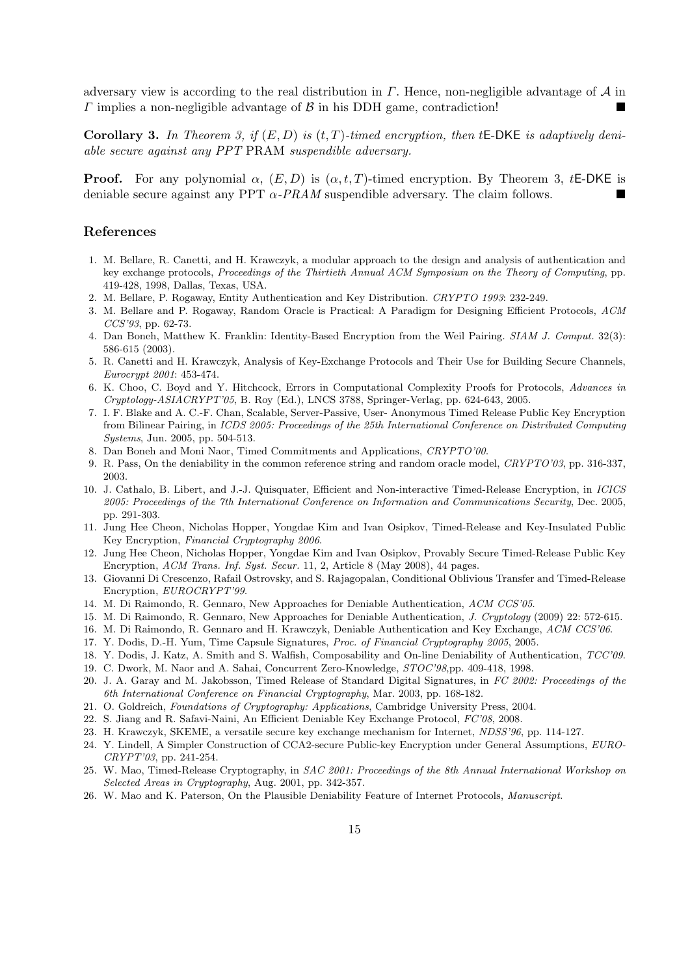adversary view is according to the real distribution in *Γ*. Hence, non-negligible advantage of *A* in *Γ* implies a non-negligible advantage of *B* in his DDH game, contradiction!

**Corollary 3.** *In Theorem 3, if* (*E, D*) *is* (*t, T*)*-timed encryption, then t*E-DKE *is adaptively deniable secure against any PPT* PRAM *suspendible adversary.*

**Proof.** For any polynomial  $\alpha$ ,  $(E, D)$  is  $(\alpha, t, T)$ -timed encryption. By Theorem 3, tE-DKE is deniable secure against any PPT *α-PRAM* suspendible adversary. The claim follows.

# **References**

- 1. M. Bellare, R. Canetti, and H. Krawczyk, a modular approach to the design and analysis of authentication and key exchange protocols, *Proceedings of the Thirtieth Annual ACM Symposium on the Theory of Computing*, pp. 419-428, 1998, Dallas, Texas, USA.
- 2. M. Bellare, P. Rogaway, Entity Authentication and Key Distribution. *CRYPTO 1993*: 232-249.
- 3. M. Bellare and P. Rogaway, Random Oracle is Practical: A Paradigm for Designing Efficient Protocols, *ACM CCS'93*, pp. 62-73.
- 4. Dan Boneh, Matthew K. Franklin: Identity-Based Encryption from the Weil Pairing. *SIAM J. Comput.* 32(3): 586-615 (2003).
- 5. R. Canetti and H. Krawczyk, Analysis of Key-Exchange Protocols and Their Use for Building Secure Channels, *Eurocrypt 2001*: 453-474.
- 6. K. Choo, C. Boyd and Y. Hitchcock, Errors in Computational Complexity Proofs for Protocols, *Advances in Cryptology-ASIACRYPT'05*, B. Roy (Ed.), LNCS 3788, Springer-Verlag, pp. 624-643, 2005.
- 7. I. F. Blake and A. C.-F. Chan, Scalable, Server-Passive, User- Anonymous Timed Release Public Key Encryption from Bilinear Pairing, in *ICDS 2005: Proceedings of the 25th International Conference on Distributed Computing Systems*, Jun. 2005, pp. 504-513.
- 8. Dan Boneh and Moni Naor, Timed Commitments and Applications, *CRYPTO'00*.
- 9. R. Pass, On the deniability in the common reference string and random oracle model, *CRYPTO'03*, pp. 316-337, 2003.
- 10. J. Cathalo, B. Libert, and J.-J. Quisquater, Efficient and Non-interactive Timed-Release Encryption, in *ICICS 2005: Proceedings of the 7th International Conference on Information and Communications Security*, Dec. 2005, pp. 291-303.
- 11. Jung Hee Cheon, Nicholas Hopper, Yongdae Kim and Ivan Osipkov, Timed-Release and Key-Insulated Public Key Encryption, *Financial Cryptography 2006*.
- 12. Jung Hee Cheon, Nicholas Hopper, Yongdae Kim and Ivan Osipkov, Provably Secure Timed-Release Public Key Encryption, *ACM Trans. Inf. Syst. Secur.* 11, 2, Article 8 (May 2008), 44 pages.
- 13. Giovanni Di Crescenzo, Rafail Ostrovsky, and S. Rajagopalan, Conditional Oblivious Transfer and Timed-Release Encryption, *EUROCRYPT'99*.
- 14. M. Di Raimondo, R. Gennaro, New Approaches for Deniable Authentication, *ACM CCS'05*.
- 15. M. Di Raimondo, R. Gennaro, New Approaches for Deniable Authentication, *J. Cryptology* (2009) 22: 572-615.
- 16. M. Di Raimondo, R. Gennaro and H. Krawczyk, Deniable Authentication and Key Exchange, *ACM CCS'06*.
- 17. Y. Dodis, D.-H. Yum, Time Capsule Signatures, *Proc. of Financial Cryptography 2005*, 2005.
- 18. Y. Dodis, J. Katz, A. Smith and S. Walfish, Composability and On-line Deniability of Authentication, *TCC'09*.
- 19. C. Dwork, M. Naor and A. Sahai, Concurrent Zero-Knowledge, *STOC'98*,pp. 409-418, 1998.
- 20. J. A. Garay and M. Jakobsson, Timed Release of Standard Digital Signatures, in *FC 2002: Proceedings of the 6th International Conference on Financial Cryptography*, Mar. 2003, pp. 168-182.
- 21. O. Goldreich, *Foundations of Cryptography: Applications*, Cambridge University Press, 2004.
- 22. S. Jiang and R. Safavi-Naini, An Efficient Deniable Key Exchange Protocol, *FC'08*, 2008.
- 23. H. Krawczyk, SKEME, a versatile secure key exchange mechanism for Internet, *NDSS'96*, pp. 114-127.
- 24. Y. Lindell, A Simpler Construction of CCA2-secure Public-key Encryption under General Assumptions, *EURO-CRYPT'03*, pp. 241-254.
- 25. W. Mao, Timed-Release Cryptography, in *SAC 2001: Proceedings of the 8th Annual International Workshop on Selected Areas in Cryptography*, Aug. 2001, pp. 342-357.
- 26. W. Mao and K. Paterson, On the Plausible Deniability Feature of Internet Protocols, *Manuscript*.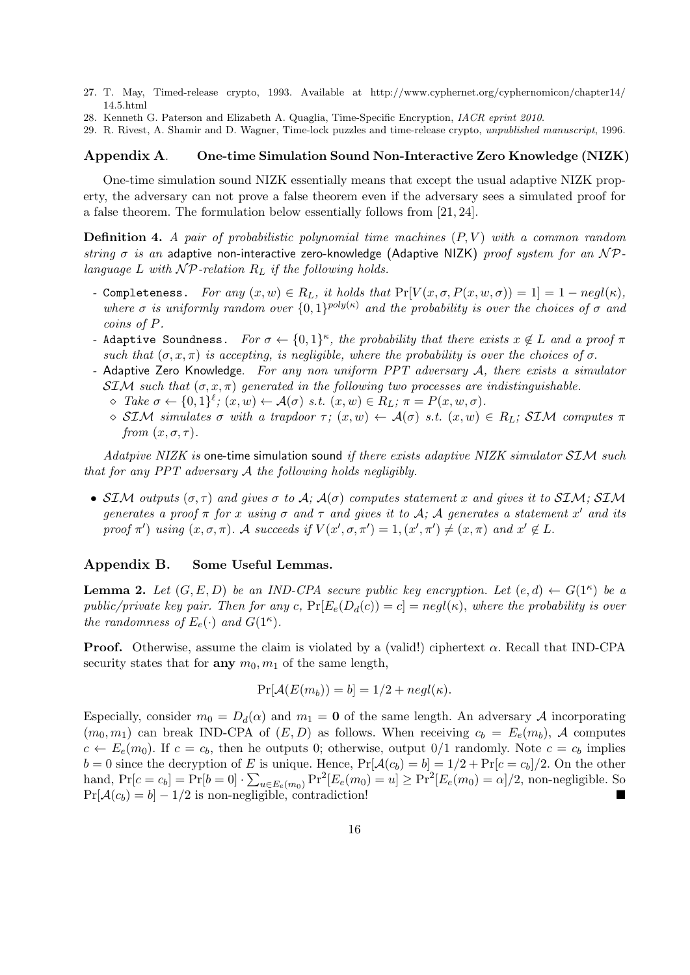- 27. T. May, Timed-release crypto, 1993. Available at http://www.cyphernet.org/cyphernomicon/chapter14/ 14.5.html
- 28. Kenneth G. Paterson and Elizabeth A. Quaglia, Time-Specific Encryption, *IACR eprint 2010*.
- 29. R. Rivest, A. Shamir and D. Wagner, Time-lock puzzles and time-release crypto, *unpublished manuscript*, 1996.

## **Appendix A**. **One-time Simulation Sound Non-Interactive Zero Knowledge (NIZK)**

One-time simulation sound NIZK essentially means that except the usual adaptive NIZK property, the adversary can not prove a false theorem even if the adversary sees a simulated proof for a false theorem. The formulation below essentially follows from [21, 24].

**Definition 4.** *A pair of probabilistic polynomial time machines* (*P, V* ) *with a common random string σ is an* adaptive non-interactive zero-knowledge (Adaptive NIZK) *proof system for an N Planguage L with N P-relation R<sup>L</sup> if the following holds.*

- *-* Completeness. *For any* (*x, w*) *∈ RL, it holds that* Pr[*V* (*x, σ, P*(*x, w, σ*)) = 1] = 1 *− negl*(*κ*)*, where*  $\sigma$  *is uniformly random over*  $\{0,1\}^{poly(\kappa)}$  *and the probability is over the choices of*  $\sigma$  *and coins of P.*
- *-* Adaptive Soundness. *For*  $\sigma \leftarrow \{0,1\}^{\kappa}$ , the probability that there exists  $x \notin L$  and a proof  $\pi$ *such that*  $(\sigma, x, \pi)$  *is accepting, is negligible, where the probability is over the choices of*  $\sigma$ .
- *-* Adaptive Zero Knowledge. *For any non uniform PPT adversary A, there exists a simulator SIM* such that  $(\sigma, x, \pi)$  generated in the following two processes are indistinguishable.
	- $\Diamond$  *Take*  $\sigma \leftarrow \{0,1\}^{\ell}$ ;  $(x,w) \leftarrow \mathcal{A}(\sigma)$  *s.t.*  $(x,w) \in R_L$ ;  $\pi = P(x,w,\sigma)$ .
	- $\diamond$  *SIM simulates σ with a trapdoor τ*; (*x, w*)  $\in$  *A*(*σ*) *s.t.* (*x, w*)  $\in$  *R<sub>L</sub>*; *SIM computes π from*  $(x, \sigma, \tau)$ *.*

*Adatpive NIZK is* one-time simulation sound *if there exists adaptive NIZK simulator SIM such that for any PPT adversary A the following holds negligibly.*

• *SIM outputs*  $(\sigma, \tau)$  *and gives*  $\sigma$  *to*  $A$ *;*  $A(\sigma)$  *computes statement x and gives it to SIM; SIM generates a proof*  $\pi$  *for*  $x$  *using*  $\sigma$  *and*  $\tau$  *and gives it to*  $\mathcal{A}$ *;*  $\mathcal{A}$  *generates a statement*  $x'$  *and its* proof  $\pi'$ ) using  $(x, \sigma, \pi)$ . A succeeds if  $V(x', \sigma, \pi') = 1$ ,  $(x', \pi') \neq (x, \pi)$  and  $x' \notin L$ .

# **Appendix B. Some Useful Lemmas.**

**Lemma 2.** *Let*  $(G, E, D)$  *be an IND-CPA secure public key encryption. Let*  $(e, d) \leftarrow G(1^{\kappa})$  *be a public/private key pair. Then for any c*,  $Pr[E_e(D_d(c)) = c] = negl(\kappa)$ , where the probability is over *the randomness of*  $E_e(\cdot)$  *and*  $G(1^{\kappa})$ *.* 

**Proof.** Otherwise, assume the claim is violated by a (valid!) ciphertext *α.* Recall that IND-CPA security states that for **any**  $m_0, m_1$  of the same length,

$$
Pr[\mathcal{A}(E(m_b)) = b] = 1/2 + negl(\kappa).
$$

Especially, consider  $m_0 = D_d(\alpha)$  and  $m_1 = \mathbf{0}$  of the same length. An adversary *A* incorporating  $(m_0, m_1)$  can break IND-CPA of  $(E, D)$  as follows. When receiving  $c_b = E_e(m_b)$ , *A* computes  $c \leftarrow E_e(m_0)$ . If  $c = c_b$ , then he outputs 0; otherwise, output 0/1 randomly. Note  $c = c_b$  implies  $b = 0$  since the decryption of *E* is unique. Hence,  $Pr[A(c_b) = b] = 1/2 + Pr[c = c_b]/2$ . On the other hand,  $Pr[c = c_b] = Pr[b = 0] \cdot \sum_{u \in E_e(m_0)} Pr^2[E_e(m_0) = u] \ge Pr^2[E_e(m_0) = \alpha]/2$ , non-negligible. So  $Pr[\mathcal{A}(c_b) = b] - 1/2$  is non-negligible, contradiction!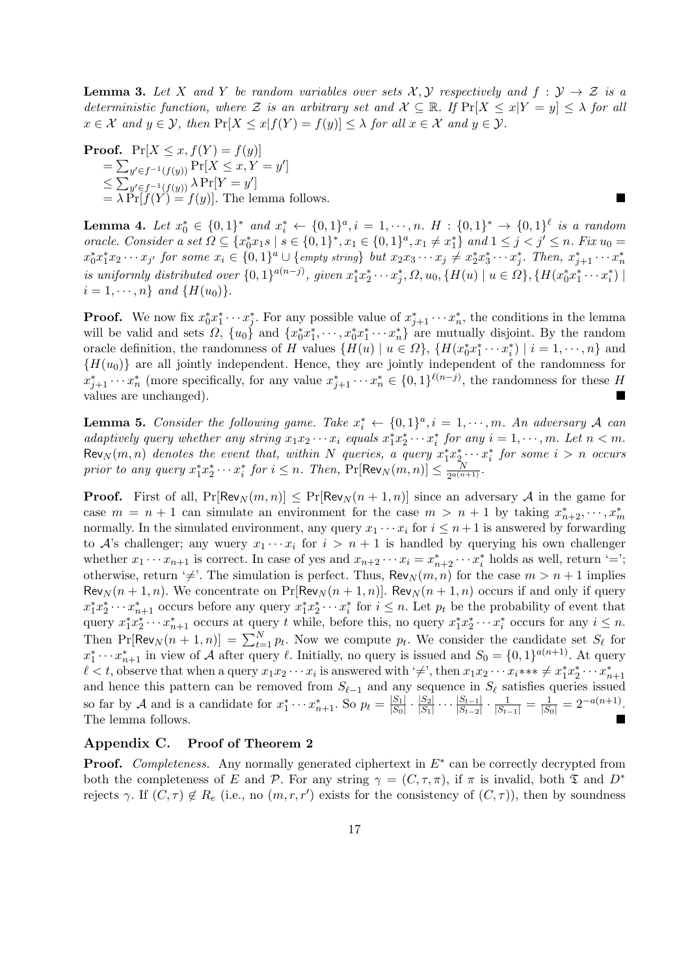**Lemma 3.** Let *X* and *Y* be random variables over sets  $\mathcal{X}, \mathcal{Y}$  respectively and  $f : \mathcal{Y} \to \mathcal{Z}$  is a *deterministic function, where*  $\mathcal{Z}$  *is an arbitrary set and*  $\mathcal{X} \subseteq \mathbb{R}$ *. If*  $Pr[X \leq x|Y = y] \leq \lambda$  *for all*  $x \in \mathcal{X}$  and  $y \in \mathcal{Y}$ , then  $\Pr[X \le x | f(Y) = f(y)] \le \lambda$  for all  $x \in \mathcal{X}$  and  $y \in \mathcal{Y}$ .

**Proof.**  $Pr[X \le x, f(Y) = f(y)]$  $=\sum_{y'\in f^{-1}(f(y))} \Pr[X \leq x, Y = y']$  $\leq \sum_{y' \in f^{-1}(f(y))} \lambda \Pr[Y = y']$  $= \lambda \Pr[f(Y) = f(y)]$ . The lemma follows.

**Lemma 4.** Let  $x_0^* \in \{0,1\}^*$  and  $x_i^* \leftarrow \{0,1\}^a$ ,  $i = 1,\dots, n$ .  $H : \{0,1\}^* \rightarrow \{0,1\}^{\ell}$  is a random oracle. Consider a set  $\Omega \subseteq \{x_0^*x_1s \mid s \in \{0,1\}^*, x_1 \in \{0,1\}^a, x_1 \neq x_1^*\}$  and  $1 \leq j < j' \leq n$ . Fix  $u_0 =$  $x_0^*x_1^*x_2\cdots x_{j'}$  for some  $x_i \in \{0,1\}^a \cup \{empty \text{ string}\}$  but  $x_2x_3\cdots x_j \neq x_2^*x_3^* \cdots x_j^*$ . Then,  $x_{j+1}^* \cdots x_n^*$ is uniformly distributed over  $\{0,1\}^{a(n-j)}$ , given  $x_1^*x_2^*\cdots x_j^*$ ,  $\Omega$ ,  $u_0$ ,  $\{H(u) \mid u \in \Omega\}$ ,  $\{H(x_0^*x_1^*\cdots x_i^*) \mid u \in \Omega\}$  $i = 1, \dots, n$ *} and*  $\{H(u_0)\}$ *.* 

**Proof.** We now fix  $x_0^* x_1^* \cdots x_j^*$ . For any possible value of  $x_{j+1}^* \cdots x_n^*$ , the conditions in the lemma will be valid and sets  $\Omega$ ,  $\{u_0\}$  and  $\{x_0^*x_1^*, \dots, x_0^*x_1^*\dots x_n^*\}$  are mutually disjoint. By the random oracle definition, the randomness of H values  $\{H(u) \mid u \in \Omega\}$ ,  $\{H(x_0^*x_1^* \cdots x_i^*) \mid i = 1, \dots, n\}$  and  ${H(u<sub>0</sub>)}$  are all jointly independent. Hence, they are jointly independent of the randomness for  $x_{j+1}^* \cdots x_n^*$  (more specifically, for any value  $x_{j+1}^* \cdots x_n^* \in \{0,1\}^{\ell(n-j)}$ , the randomness for these H values are unchanged).

**Lemma 5.** *Consider the following game. Take*  $x_i^* \leftarrow \{0,1\}^a, i = 1,\dots, m$ *. An adversary A can* adaptively query whether any string  $x_1x_2 \cdots x_i$  equals  $x_1^*x_2^* \cdots x_i^*$  for any  $i = 1, \dots, m$ . Let  $n < m$ .  $\text{Rev}_N(m, n)$  denotes the event that, within N queries, a query  $x_1^* x_2^* \cdots x_i^*$  for some  $i > n$  occurs *prior to any query*  $x_1^* x_2^* \cdots x_i^*$  *for*  $i \leq n$ . Then,  $Pr[$ Rev<sub>N</sub> $(m, n)] \leq \frac{N}{2^{a(n)}}$  $\frac{N}{2^{a(n+1)}}$ 

**Proof.** First of all,  $Pr[Rev_N(m, n)] \leq Pr[Rev_N(n + 1, n)]$  since an adversary *A* in the game for case  $m = n + 1$  can simulate an environment for the case  $m > n + 1$  by taking  $x_{n+2}^*, \dots, x_m^*$ normally. In the simulated environment, any query  $x_1 \cdots x_i$  for  $i \leq n+1$  is answered by forwarding to *A*'s challenger; any wuery  $x_1 \cdots x_i$  for  $i > n + 1$  is handled by querying his own challenger whether  $x_1 \cdots x_{n+1}$  is correct. In case of yes and  $x_{n+2} \cdots x_i = x_{n+2}^* \cdots x_i^*$  holds as well, return '='; otherwise, return ' $\neq$ '. The simulation is perfect. Thus,  $\text{Rev}_N(m, n)$  for the case  $m > n + 1$  implies Rev<sub>N</sub>( $n+1, n$ ). We concentrate on Pr[Rev<sub>N</sub>( $n+1, n$ )]. Rev<sub>N</sub>( $n+1, n$ ) occurs if and only if query  $x_1^* x_2^* \cdots x_{n+1}^*$  occurs before any query  $x_1^* x_2^* \cdots x_i^*$  for  $i \leq n$ . Let  $p_t$  be the probability of event that query  $x_1^* x_2^* \cdots x_{n+1}^*$  occurs at query t while, before this, no query  $x_1^* x_2^* \cdots x_i^*$  occurs for any  $i \leq n$ . Then  $\Pr[\text{Rev}_N(n+1, n)] = \sum_{t=1}^N p_t$ . Now we compute  $p_t$ . We consider the candidate set  $S_\ell$  for  $x_1^* \cdots x_{n+1}^*$  in view of *A* after query *ℓ*. Initially, no query is issued and  $S_0 = \{0, 1\}^{a(n+1)}$ . At query  $\ell < t$ , observe that when a query  $x_1x_2 \cdots x_i$  is answered with ' $\neq$ ', then  $x_1x_2 \cdots x_i$ \*\*\*  $\neq x_1^*x_2^* \cdots x_{n+1}^*$ and hence this pattern can be removed from  $S_{\ell-1}$  and any sequence in  $S_{\ell}$  satisfies queries issued so far by *A* and is a candidate for  $x_1^* \cdots x_{n+1}^*$ . So  $p_t = \frac{|S_1|}{|S_0|}$  $\frac{|S_1|}{|S_0|} \cdot \frac{|S_2|}{|S_1|}$  $\frac{|S_2|}{|S_1|} \cdots \frac{|S_{t-1}|}{|S_{t-2}|}$  $\frac{|S_{t-1}|}{|S_{t-2}|} \cdot \frac{1}{|S_{t-1}|} = \frac{1}{|S_0|} = 2^{-a(n+1)}$ . The lemma follows.

# **Appendix C. Proof of Theorem 2**

**Proof.** *Completeness.* Any normally generated ciphertext in *E∗* can be correctly decrypted from both the completeness of *E* and *P*. For any string  $\gamma = (C, \tau, \pi)$ , if  $\pi$  is invalid, both  $\mathfrak T$  and  $D^*$ rejects  $\gamma$ . If  $(C, \tau) \notin R_e$  (i.e., no  $(m, r, r')$  exists for the consistency of  $(C, \tau)$ ), then by soundness